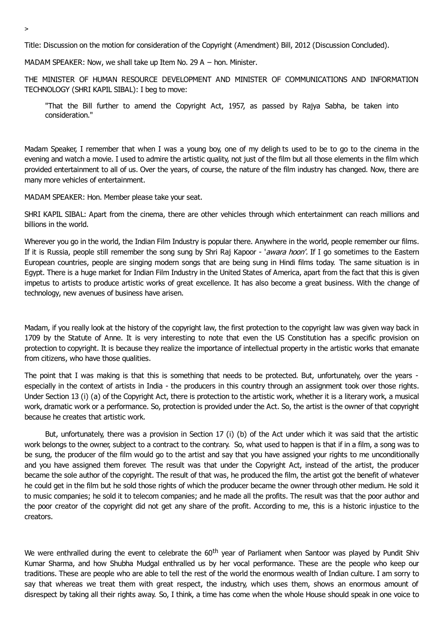Title: Discussion on the motion for consideration of the Copyright (Amendment) Bill, 2012 (Discussion Concluded).

MADAM SPEAKER: Now, we shall take up Item No. 29 A − hon. Minister.

THE MINISTER OF HUMAN RESOURCE DEVELOPMENT AND MINISTER OF COMMUNICATIONS AND INFORMATION TECHNOLOGY (SHRI KAPIL SIBAL): I beg to move:

"That the Bill further to amend the Copyright Act, 1957, as passed by Rajya Sabha, be taken into consideration."

Madam Speaker, I remember that when I was a young boy, one of my deligh ts used to be to go to the cinema in the evening and watch a movie. I used to admire the artistic quality, not just of the film but all those elements in the film which provided entertainment to all of us. Over the years, of course, the nature of the film industry has changed. Now, there are many more vehicles of entertainment.

MADAM SPEAKER: Hon. Member please take your seat.

SHRI KAPIL SIBAL: Apart from the cinema, there are other vehicles through which entertainment can reach millions and billions in the world.

Wherever you go in the world, the Indian Film Industry is popular there. Anywhere in the world, people remember our films. If it is Russia, people still remember the song sung by Shri Raj Kapoor - 'awara hoon'. If I go sometimes to the Eastern European countries, people are singing modern songs that are being sung in Hindi films today. The same situation is in Egypt. There is a huge market for Indian Film Industry in the United States of America, apart from the fact that this is given impetus to artists to produce artistic works of great excellence. It has also become a great business. With the change of technology, new avenues of business have arisen.

Madam, if you really look at the history of the copyright law, the first protection to the copyright law was given way back in 1709 by the Statute of Anne. It is very interesting to note that even the US Constitution has a specific provision on protection to copyright. It is because they realize the importance of intellectual property in the artistic works that emanate from citizens, who have those qualities.

The point that I was making is that this is something that needs to be protected. But, unfortunately, over the years especially in the context of artists in India - the producers in this country through an assignment took over those rights. Under Section 13 (i) (a) of the Copyright Act, there is protection to the artistic work, whether it is a literary work, a musical work, dramatic work or a performance. So, protection is provided under the Act. So, the artist is the owner of that copyright because he creates that artistic work.

But, unfortunately, there was a provision in Section 17 (i) (b) of the Act under which it was said that the artistic work belongs to the owner, subject to a contract to the contrary. So, what used to happen is that if in a film, a song was to be sung, the producer of the film would go to the artist and say that you have assigned your rights to me unconditionally and you have assigned them forever. The result was that under the Copyright Act, instead of the artist, the producer became the sole author of the copyright. The result of that was, he produced the film, the artist got the benefit of whatever he could get in the film but he sold those rights of which the producer became the owner through other medium. He sold it to music companies; he sold it to telecom companies; and he made all the profits. The result was that the poor author and the poor creator of the copyright did not get any share of the profit. According to me, this is a historic injustice to the creators.

We were enthralled during the event to celebrate the 60<sup>th</sup> year of Parliament when Santoor was played by Pundit Shiv Kumar Sharma, and how Shubha Mudgal enthralled us by her vocal performance. These are the people who keep our traditions. These are people who are able to tell the rest of the world the enormous wealth of Indian culture. I am sorry to say that whereas we treat them with great respect, the industry, which uses them, shows an enormous amount of disrespect by taking all their rights away. So, I think, a time has come when the whole House should speak in one voice to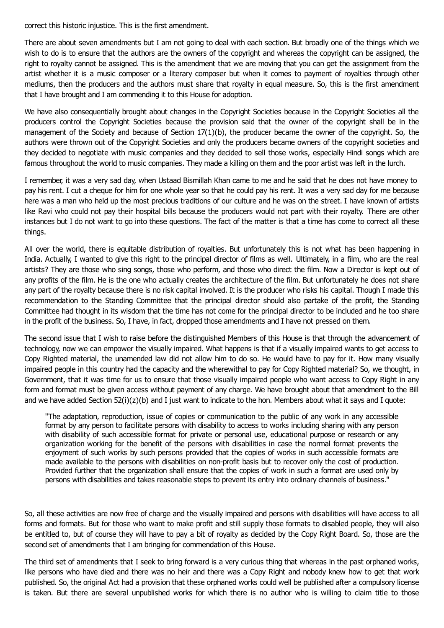correct this historic injustice. This is the first amendment.

There are about seven amendments but I am not going to deal with each section. But broadly one of the things which we wish to do is to ensure that the authors are the owners of the copyright and whereas the copyright can be assigned, the right to royalty cannot be assigned. This is the amendment that we are moving that you can get the assignment from the artist whether it is a music composer or a literary composer but when it comes to payment of royalties through other mediums, then the producers and the authors must share that royalty in equal measure. So, this is the first amendment that I have brought and I am commending it to this House for adoption.

We have also consequentially brought about changes in the Copyright Societies because in the Copyright Societies all the producers control the Copyright Societies because the provision said that the owner of the copyright shall be in the management of the Society and because of Section 17(1)(b), the producer became the owner of the copyright. So, the authors were thrown out of the Copyright Societies and only the producers became owners of the copyright societies and they decided to negotiate with music companies and they decided to sell those works, especially Hindi songs which are famous throughout the world to music companies. They made a killing on them and the poor artist was left in the lurch.

I remember, it was a very sad day, when Ustaad Bismillah Khan came to me and he said that he does not have money to pay his rent. I cut a cheque for him for one whole year so that he could pay his rent. It was a very sad day for me because here was a man who held up the most precious traditions of our culture and he was on the street. I have known of artists like Ravi who could not pay their hospital bills because the producers would not part with their royalty. There are other instances but I do not want to go into these questions. The fact of the matter is that a time has come to correct all these things.

All over the world, there is equitable distribution of royalties. But unfortunately this is not what has been happening in India. Actually, I wanted to give this right to the principal director of films as well. Ultimately, in a film, who are the real artists? They are those who sing songs, those who perform, and those who direct the film. Now a Director is kept out of any profits of the film. He is the one who actually creates the architecture of the film. But unfortunately he does not share any part of the royalty because there is no risk capital involved. It is the producer who risks his capital. Though I made this recommendation to the Standing Committee that the principal director should also partake of the profit, the Standing Committee had thought in its wisdom that the time has not come for the principal director to be included and he too share in the profit of the business. So, I have, in fact, dropped those amendments and I have not pressed on them.

The second issue that I wish to raise before the distinguished Members of this House is that through the advancement of technology, now we can empower the visually impaired. What happens is that if a visually impaired wants to get access to Copy Righted material, the unamended law did not allow him to do so. He would have to pay for it. How many visually impaired people in this country had the capacity and the wherewithal to pay for Copy Righted material? So, we thought, in Government, that it was time for us to ensure that those visually impaired people who want access to Copy Right in any form and format must be given access without payment of any charge. We have brought about that amendment to the Bill and we have added Section  $52(i)(z)(b)$  and I just want to indicate to the hon. Members about what it says and I quote:

"The adaptation, reproduction, issue of copies or communication to the public of any work in any accessible format by any person to facilitate persons with disability to access to works including sharing with any person with disability of such accessible format for private or personal use, educational purpose or research or any organization working for the benefit of the persons with disabilities in case the normal format prevents the enjoyment of such works by such persons provided that the copies of works in such accessible formats are made available to the persons with disabilities on non-profit basis but to recover only the cost of production. Provided further that the organization shall ensure that the copies of work in such a format are used only by persons with disabilities and takes reasonable steps to prevent its entry into ordinary channels of business."

So, all these activities are now free of charge and the visually impaired and persons with disabilities will have access to all forms and formats. But for those who want to make profit and still supply those formats to disabled people, they will also be entitled to, but of course they will have to pay a bit of royalty as decided by the Copy Right Board. So, those are the second set of amendments that I am bringing for commendation of this House.

The third set of amendments that I seek to bring forward is a very curious thing that whereas in the past orphaned works, like persons who have died and there was no heir and there was a Copy Right and nobody knew how to get that work published. So, the original Act had a provision that these orphaned works could well be published after a compulsory license is taken. But there are several unpublished works for which there is no author who is willing to claim title to those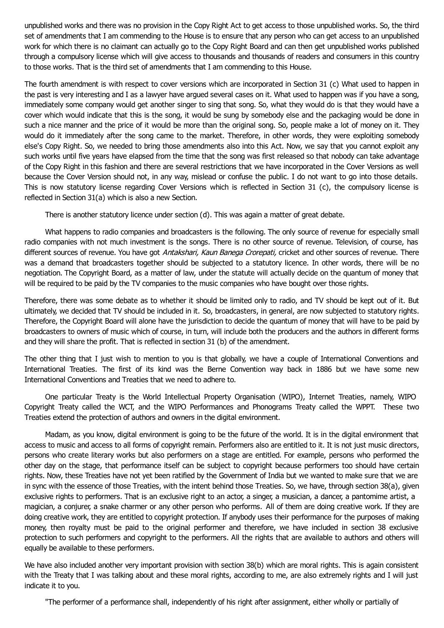unpublished works and there was no provision in the Copy Right Act to get access to those unpublished works. So, the third set of amendments that I am commending to the House is to ensure that any person who can get access to an unpublished work for which there is no claimant can actually go to the Copy Right Board and can then get unpublished works published through a compulsory license which will give access to thousands and thousands of readers and consumers in this country to those works. That is the third set of amendments that I am commending to this House.

The fourth amendment is with respect to cover versions which are incorporated in Section 31 (c) What used to happen in the past is very interesting and I as a lawyer have argued several cases on it. What used to happen was if you have a song, immediately some company would get another singer to sing that song. So, what they would do is that they would have a cover which would indicate that this is the song, it would be sung by somebody else and the packaging would be done in such a nice manner and the price of it would be more than the original song. So, people make a lot of money on it. They would do it immediately after the song came to the market. Therefore, in other words, they were exploiting somebody else's Copy Right. So, we needed to bring those amendments also into this Act. Now, we say that you cannot exploit any such works until five years have elapsed from the time that the song was first released so that nobody can take advantage of the Copy Right in this fashion and there are several restrictions that we have incorporated in the Cover Versions as well because the Cover Version should not, in any way, mislead or confuse the public. I do not want to go into those details. This is now statutory license regarding Cover Versions which is reflected in Section 31 (c), the compulsory license is reflected in Section 31(a) which is also a new Section.

There is another statutory licence under section (d). This was again a matter of great debate.

What happens to radio companies and broadcasters is the following. The only source of revenue for especially small radio companies with not much investment is the songs. There is no other source of revenue. Television, of course, has different sources of revenue. You have got Antakshari, Kaun Banega Crorepati, cricket and other sources of revenue. There was a demand that broadcasters together should be subjected to a statutory licence. In other words, there will be no negotiation. The Copyright Board, as a matter of law, under the statute will actually decide on the quantum of money that will be required to be paid by the TV companies to the music companies who have bought over those rights.

Therefore, there was some debate as to whether it should be limited only to radio, and TV should be kept out of it. But ultimately, we decided that TV should be included in it. So, broadcasters, in general, are now subjected to statutory rights. Therefore, the Copyright Board will alone have the jurisdiction to decide the quantum of money that will have to be paid by broadcasters to owners of music which of course, in turn, will include both the producers and the authors in different forms and they will share the profit. That is reflected in section 31 (b) of the amendment.

The other thing that I just wish to mention to you is that globally, we have a couple of International Conventions and International Treaties. The first of its kind was the Berne Convention way back in 1886 but we have some new International Conventions and Treaties that we need to adhere to.

One particular Treaty is the World Intellectual Property Organisation (WIPO), Internet Treaties, namely, WIPO Copyright Treaty called the WCT, and the WIPO Performances and Phonograms Treaty called the WPPT. These two Treaties extend the protection of authors and owners in the digital environment.

Madam, as you know, digital environment is going to be the future of the world. It is in the digital environment that access to music and access to all forms of copyright remain. Performers also are entitled to it. It is not just music directors, persons who create literary works but also performers on a stage are entitled. For example, persons who performed the other day on the stage, that performance itself can be subject to copyright because performers too should have certain rights. Now, these Treaties have not yet been ratified by the Government of India but we wanted to make sure that we are in sync with the essence of those Treaties, with the intent behind those Treaties. So, we have, through section 38(a), given exclusive rights to performers. That is an exclusive right to an actor, a singer, a musician, a dancer, a pantomime artist, a magician, a conjurer, a snake charmer or any other person who performs. All of them are doing creative work. If they are doing creative work, they are entitled to copyright protection. If anybody uses their performance for the purposes of making money, then royalty must be paid to the original performer and therefore, we have included in section 38 exclusive protection to such performers and copyright to the performers. All the rights that are available to authors and others will equally be available to these performers.

We have also included another very important provision with section 38(b) which are moral rights. This is again consistent with the Treaty that I was talking about and these moral rights, according to me, are also extremely rights and I will just indicate it to you.

"The performer of a performance shall, independently of his right after assignment, either wholly or partially of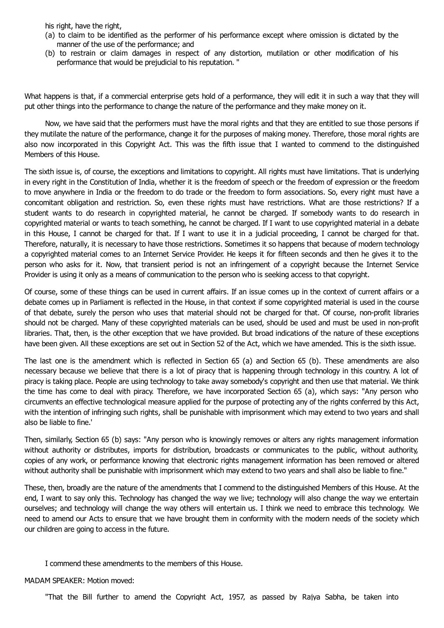his right, have the right,

- (a) to claim to be identified as the performer of his performance except where omission is dictated by the manner of the use of the performance; and
- (b) to restrain or claim damages in respect of any distortion, mutilation or other modification of his performance that would be prejudicial to his reputation. "

What happens is that, if a commercial enterprise gets hold of a performance, they will edit it in such a way that they will put other things into the performance to change the nature of the performance and they make money on it.

Now, we have said that the performers must have the moral rights and that they are entitled to sue those persons if they mutilate the nature of the performance, change it for the purposes of making money. Therefore, those moral rights are also now incorporated in this Copyright Act. This was the fifth issue that I wanted to commend to the distinguished Members of this House.

The sixth issue is, of course, the exceptions and limitations to copyright. All rights must have limitations. That is underlying in every right in the Constitution of India, whether it is the freedom of speech or the freedom of expression or the freedom to move anywhere in India or the freedom to do trade or the freedom to form associations. So, every right must have a concomitant obligation and restriction. So, even these rights must have restrictions. What are those restrictions? If a student wants to do research in copyrighted material, he cannot be charged. If somebody wants to do research in copyrighted material or wants to teach something, he cannot be charged. If I want to use copyrighted material in a debate in this House, I cannot be charged for that. If I want to use it in a judicial proceeding, I cannot be charged for that. Therefore, naturally, it is necessary to have those restrictions. Sometimes it so happens that because of modern technology a copyrighted material comes to an Internet Service Provider. He keeps it for fifteen seconds and then he gives it to the person who asks for it. Now, that transient period is not an infringement of a copyright because the Internet Service Provider is using it only as a means of communication to the person who is seeking access to that copyright.

Of course, some of these things can be used in current affairs. If an issue comes up in the context of current affairs or a debate comes up in Parliament is reflected in the House, in that context if some copyrighted material is used in the course of that debate, surely the person who uses that material should not be charged for that. Of course, non-profit libraries should not be charged. Many of these copyrighted materials can be used, should be used and must be used in non-profit libraries. That, then, is the other exception that we have provided. But broad indications of the nature of these exceptions have been given. All these exceptions are set out in Section 52 of the Act, which we have amended. This is the sixth issue.

The last one is the amendment which is reflected in Section 65 (a) and Section 65 (b). These amendments are also necessary because we believe that there is a lot of piracy that is happening through technology in this country. A lot of piracy is taking place. People are using technology to take away somebody's copyright and then use that material. We think the time has come to deal with piracy. Therefore, we have incorporated Section 65 (a), which says: "Any person who circumvents an effective technological measure applied for the purpose of protecting any of the rights conferred by this Act, with the intention of infringing such rights, shall be punishable with imprisonment which may extend to two years and shall also be liable to fine.'

Then, similarly, Section 65 (b) says: "Any person who is knowingly removes or alters any rights management information without authority or distributes, imports for distribution, broadcasts or communicates to the public, without authority, copies of any work, or performance knowing that electronic rights management information has been removed or altered without authority shall be punishable with imprisonment which may extend to two years and shall also be liable to fine."

These, then, broadly are the nature of the amendments that I commend to the distinguished Members of this House. At the end, I want to say only this. Technology has changed the way we live; technology will also change the way we entertain ourselves; and technology will change the way others will entertain us. I think we need to embrace this technology. We need to amend our Acts to ensure that we have brought them in conformity with the modern needs of the society which our children are going to access in the future.

I commend these amendments to the members of this House.

MADAM SPEAKER: Motion moved:

"That the Bill further to amend the Copyright Act, 1957, as passed by Rajya Sabha, be taken into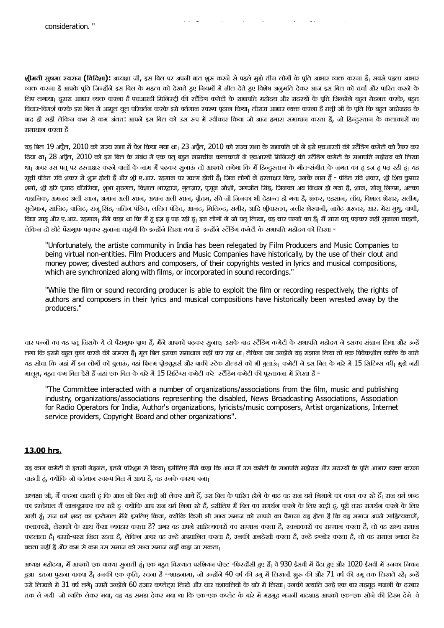**श्रीमती <mark>सुषमा स्वराज (विदिशा):</mark> अ**ध्यक्षा जी, इस बिल पर अपनी बात शुरू करने से पहले मुझे तीन लोगों के पूति आभार व्यक्त करना है<sub>।</sub> सबसे पहला आभार व्यक्त करना है आपके पूति जिन्होंने इस बिल के महत्व को देखते हुए नियमों में ढील देते हुए विशेष अनुमति देकर आज इस बिल को चर्चा और पारित करने के लिए लगाया। दूसरा आभार व्यक्त करना है एचआरडी मिनिस्टी की स्टैंडिंग कमेटी के सभापति महोदय और सदस्यों के पति जिन्होंने बहुत मेहनत करके, बहुत विचार-विमर्श करके इस बिल में आमूल चूल परिवर्तन करके इसे वर्तमान रचकप पदान किया। तीसरा आभार व्यक्त करना है मंती जी के पूति कि बहुत जहोजहद के बाद ही सही लेकिन कम से कम अंतत: आपने इस बिल को उस रूप में स्वीकार किया जो आज हमारा समाधान करता है, जो हिन्दुस्तान के कलाकारों का समाधान करता है

"That the Bill further to amend the Bill further to amend the Copyright Act, 1957, as passed by Rajya Sabha, b

यह बिल 19 अप्रैल, 2010 को राज्य सभा में पेश किया गया था। 23 अपैल, 2010 को राज्य सभा के सभापति जी ने इसे एचआरडी की रटैंडिंग कमेटी को रैफर कर दिया था<sub>।</sub> 28 अप्रैल, 2010 को इस बिल के संबंध में एक पत् बहुत नामचीन कलाकारों ने एचआरडी मिनिस्ट्री की रटैंडिंग कमेटी के सभापति महोदय को लिखा था<sub>।</sub> अगर उस पतू पर हस्ताक्षर करने वालों के नाम मैं पढ़कर सुनाऊं तो आपको लगेगा कि मैं हिन्दुस्तान के गीत-संगीत के जगत का हू इज़ हू पढ़ रही हूं। यह सची पंडित रवि शंकर से शुरू होती है और शी ए.आर. रहमान पर खत्म होती है। जिन लोगों ने हस्ताक्षर किए, उनके नाम हैं - पंडित रवि शंकर, शी शिव कुमार शर्मा, श्री हरि पूसाद चौरसिया, शुभा मुदगल, विशाल भारद्वाज, गूलज़ार, पूसून जोशी, जगजीत सिंह, जिनका अब निधन हो गया है, शान, सोनू निगम, अल्का याज्ञलिक, अमजद अली खान, अमान अली खान, अयान अली खान, पूतिम, रवि जी जिनका भी देहान्त हो गया है, शंकर, एहसान, लॉय़, विशाल शेखर, सलीम, सुलेमान, साजिद, वाजिद, राजू सिंह, जतिन पंडित, ललित पंडित, आनंद, मिलिन्द, समीर, आदि श्रीवास्तव, जलीर शेरवानी, जावेद अख्तर, आर. मेरा मुथु, वाणी, विद्या साढू और ए.आर. रहमान<sub>।</sub> मैंने कहा था कि मैं हू इज़ ढू पढ़ रही हूं। इन लोगों ने जो पत् लिखा, वह चार पन्नों का है<sub>।</sub> मैं सारा पत् पढ़कर नहीं सुनाना चाहती, लेकिन दो छोटे पैरागृफ पढ़कर सुनाना चाहुंगी कि इन्होंने लिखा क्या है| इन्होंने स्टैंडिंग कमेटी के सभापति महोदय को लिखा -

"Unfortunately, the artiste community in India has been relegated by Film Producers and Music Companies to being virtual non-entities. Film Producers and Music Companies have historically, by the use of their clout and money power, divested authors and composers, of their copyrights vested in lyrics and musical compositions, which are synchronized along with films, or incorporated in sound recordings."

"While the film or sound recording producer is able to exploit the film or recording respectively, the rights of authors and composers in their lyrics and musical compositions have historically been wrested away by the producers."

चार पन्नों का यह पत् जिसके ये दो पैरागाफ पाण हैं, मैंने आपको पढ़कर सुनाए। इसके बाद रटैंडिंग कमेटी के सभापति महोदय ने इसका संज्ञान लिया और उन्हें लगा कि इसमें बहत कुछ करने की जरूरत हैं। मूल बिल इसका समाधान नहीं कर रहा था। लेकिन जब उन्होंने यह संज्ञान लिया तो एक विवेकशील व्यक्ति के नाते यह सोचा कि जहां मैं इन लोगों को बुलाऊं, वहां फिल्म प्रोडयूसर्स और बाकी स्टेक होल्डर्स को भी बुलाऊं<sub>।</sub> कमेटी ने इस बिल के बारे में 15 सिटिंग्स कीं<sub>।</sub> मुझे नहीं मालूम, बहुत कम बिल ऐसे हैं जहां एक बिल के बारे में 15 सिटिंग्स कमेटी करे<sub>।</sub> स्टैंडिंग कमेटी की पूरतावना में लिखा है -

"The Committee interacted with a number of organizations/associations from the film, music and publishing industry, organizations/associations representing the disabled, News Broadcasting Associations, Association for Radio Operators for India, Author's organizations, lyricists/music composers, Artist organizations, Internet service providers, Copyright Board and other organizations".

#### **13.00 hrs.**

यह काम कमेटी ने इतनी मेहनत, इतने परिशुम से किया<sub>।</sub> इसीलिए मैंने कहा कि आज मैं उस कमेटी के सभापति महोदय और सदस्यों के पूति आभार व्यक्त करना चाहती हं, क्योंकि जो वर्तमान स्वरूप बिल में आया है, वह उनके कारण बना

अध्यक्षा जी, मैं कहना चाहती हूं कि आज जो बिल मंत्री जी लेकर आये हैं, उस बिल के पारित होने के बाद वह राज धम कर पहले हैं। राज धर्म शब्द का इस्तेमाल मैं जानबुझकर कर रही हूं। क्योंकि आप राज धर्म निभा रहे हैं, इसीलिए मैं बिल का समर्थन करने के लिए खड़ी हूं, पूरी तरह समर्थन करने के लिए खड़ी हूं। राज धर्म शब्द का इस्तेमाल मैंने इसलिए किया, क्योंकि किसी भी सभ्य समाज को नापने का पैमाना यह होता है कि वह समाज अपने साहित्यकारों, कलाकारों, लेखकों के साथ कैसा व्यवहार करता है? अगर वह अपने साहित्यकारों का सम्मान करता है, रचनाकारों का सम्मान करता है, तो वह सभ्य समाज कहलाता है| बरसों-बरस जिंदा रहता है, लेकिन अगर वह उन्हें अपमानित करता है, उनकी अनदेखी करता है, उन्हें इग्नोर करता है, तो वह समाज ज्यादा देर बचता नहीं है और कम से कम उस समाज को सभ्य समाज नहीं कहा जा सकता।

अध्यक्ष महोदया, मैं आपको एक वाक्या सुनाती हूं<sub>।</sub> एक बहुत विख्यात परशियन पोएट -फिरदौसी हुए हैं<sub>।</sub> वे 930 ईसवी में पैदा हुए और 1020 ईसवी में उनका निधन हुआ<sub>।</sub> इतना पुराना वाक्या है<sub>।</sub> उनकी एक कृति, रचना है --शाहनामा, जो उन्होंने 40 वर्ष की उमू में लिखनी शुरू की और 71 वर्ष की उमू तक लिखते रहे<sub>।</sub> उन्हें उसे लिखने में 31 वर्ष लगे<sub>।</sub> उसमें उन्होंने 60 हजार कप्लेट्स लिखे और चार वंशावलियों के बारे में लिखा<sub>।</sub> उनकी उन्हों एक बार महमूद गजनी के दरबार तक ले गयी। जो व्यक्ति लेकर गया, वह यह समझ देकर गया था कि एक-एक कप्लेट के बारे में महमूद गजनी बादशाह आपको एक-एक सोने की दिरम देंगे। वे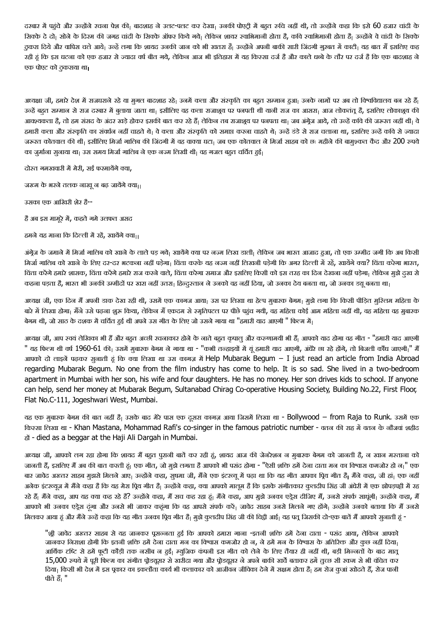दरबार में पहुंचे और उन्होंने रचना पेश की। बादशाह ने उलट-पलट कर देखा। उनकी पोएटी में बहुत रुचि नहीं थी, तो उन्होंने कहा कि इसे 60 हजार चांदी के सिक्के दे दो। सोने के दिरम की जगह चांदी के सिक्के ऑफर किये गये। लेकिन शायर स्वाभिमानी होता हैकाओं को साथ के लेक ठुकरा दिये और वापिस चले आये| उन्हें लगा कि शायद उनकी जान को भी खतरा है| उन्होंने अपनी बाकी सारी जिंदगी गूरबत में काटी| यह बात मैं इसलिए कह रही हूं कि इस घटना को एक हजार से ज्यादा वर्ष बीत गये, लेकिन आज भी इतिहास में यह किस्सा दर्ज है और काले धब्बे के तौर पर दर्ज है कि एक बादशाह ने एक पोएट को ठुकराया था

अध्यक्षा जी, हमारे देश में राजघराने रहे या मुगल बादशाह रहे<sub>।</sub> उनमें कला और संस्कृति का बहुत सम्मान हुआ<sub>।</sub> उनके नामों पर अब तो विश्वविद्यालय बन रहे हैं<sub>।</sub> उन्हें बहुत सम्मान से राज दरबार में बुलाया जाता था<sub>।</sub> इसीलिए वह कला राजाशूय पर पनपती थी यानी राज का आसरा<sub>।</sub> आज लोकतंतू है, इसलिए लोकाशुय की आवश्यकता है, तो हम संसद के अंदर खड़े होकर इसकी बात कर रहे हैं। लेकिन तब राजाशुय पर पनपता था। जब अंगेज आये, तो उन्हें कवि की जरूरत नहीं थी। वे हमारी कला और संस्कृति का संवर्धन नहीं चाहते थे<sub>।</sub> वे कला और संस्कृति को समाप्त करना चाहते थे<sub>।</sub> उन्हें डंडे से राज चलाना था, इसलिए उन्हें कवि से ज्यादा जरूरत कोतवाल की थी। इसीलिए मिर्जा गालिब की जिंदगी में वह वाक्या घटा। जब एक कोतवाल ने मिर्जा आहब को छः महीने की बामुश्कत कैद और 200 रुपये का जर्माना सनाया था। उस समय मिर्जा गालिब ने एक नज्म लिखी थी। वह गजल बहुत चर्चित हुई।

दोस्त गमखवारी में मेरी, सई फरमायेंगे क्या,

जख्म के भरने तलक नाखू न बढ़ जायेंगे क्या।

उसका एक आखिरी शेर है--

है अब इस मामूरे में, कहते गमे उलफत असद

हमले यह माना कि दिल्ली में रहें, खायेंगे क्या<sub>।।</sub>

अंग्रेज के जमाने में मिर्जा गालिब को खाने के लाले पड़ गये। खायेंगे वचा पर नज्म लिख डाली<sub>।</sub> लेकिन जब भारत आजाद हुआ, तो एक उम्मीद जगी कि अब किसी मिर्जा गालिब को खाने के लिए दर-दर भटकना नहीं पड़ेगा। विंता करके यह नज्म नहीं लिखनी पड़ेगी कि अगर दिल्ली में रहें, खायेंगे क्या? विंता करेगा भारत, चिंता करेंगे हमारे शासक, चिंता करेंगे हमारे राज करने वाले, चिंता करेगा समाज और इसलिए किसी को इस तरह का दिन देखना नहीं पड़ेगा। लेकिन मुझे दुख से कहना पड़ता है, भारत भी उनकी उम्मीदों पर खरा नहीं उतरा<sub>।</sub> हिन्दुस्तान ने उनको वह नहीं दिया, जो उनका देय बनता था, जो उनका डय़ू बनता था<sub>।</sub>

अध्यक्ष जी, एक दिन मैं अपनी डाक देख रही थी, उसमें एक कागज आया<sub>।</sub> उस पर लिखा था हेल्प मुबारक बेगम<sub>।</sub> मुझे लगा कि किसी पीड़ित मुश्लिम महिला के बारे में लिखा होगा<sub>।</sub> मैंने उसे पढ़ना शुरू किया, लेकिन मैं एकदम से स्मृतिपटल पर पीछे पहुंच गयी, वह महिला नहीं थी, वह महिला वह मुबारक बेगम थी, जो साठ के दशक में चर्चित हुई थी अपने उस गीत के लिए जो उसने गाया था "हमारी याद आएगी " फिल्म में<sub>।</sub>

अध्यक्ष जी, आप स्वयं लेखिका भी हैं और बहुत अच्छी रचनाकार होने के नाते बहुत कृपालु और करुणामयी भी हैं<sub>।</sub> आपको याद होगा वह गीत - "हमारी याद आएगी " यह फिल्म थी वर्ष 1960-61 की<sub>।</sub> उसमें मुबारक बेगम ने गाया था - "कभी तन्हाइयों में यूं हमारी याद आएगी, अंधेरे छा रहे होंगे, तो बिजली कोंध जाएगी<sub>।</sub>" मैं आपको दो लाइनें पढ़कर सुनाती हूं कि क्या लिखा था उस कागज़ में Help Mubarak Begum − I just read an article from India Abroad regarding Mubarak Begum. No one from the film industry has come to help. It is so sad. She lived in a two-bedroom apartment in Mumbai with her son, his wife and four daughters. He has no money. Her son drives kids to school. If anyone can help, send her money at Mubarak Begum, Sultanabad Chirag Co-operative Housing Society, Building No.22, First Floor, Flat No.C-111, Jogeshwari West, Mumbai.

यह एक मुबारक बेगम की बात नहीं है। उसके बाद मेरे पास एक दूसरा कागज़ आया जिसमें लिखा था - Bollywood − from Raja to Runk. उसमें एक किस्सा लिखा था - Khan Mastana, Mohammad Rafi's co-singer in the famous patriotic number - वतन की राह में वतन के नौजवां शहीद हों - died as a beggar at the Haji Ali Dargah in Mumbai.

अध्यक्ष जी, आपको लग रहा होगा कि शायद मैं बहुत पुरानी बातें कर रही हूं, शायद आज की जेनरेशन न मुबारक बेगम को जानती है, न खान मस्ताना को जानती हैं, इसलिए मैं अब की बात करती हूं। एक गीत, जो मुझे लगता है आपको भी पसंद होगा - "ऐसी शक्ति हमें देना दाता मन का विश्वास कमजोर हो न<sub>।</sub>" एक बार जावेद अख्तर साहब मुझसे मिलने आए| उन्होंने कहा, सुषमा जी, मैंने एक इंटरव्यू में पढ़ा था कि यह गीत आपका प्रिय गीत है| मैंने कहा, जी हां| एक नहीं अनेक इंटरव्यूज में मैंने कहा है कि यह मेरा पिय गीत हैं। उन्होंने कहा, क्या आपको मालम है कि इसके संगीतकार कुलदीप सिंह जी अंधेरी में एक झोपड़पट्टी में रह रहे हैं। मैंने कहा, आप यह क्या कह रहे हैं? उन्होंने कहा, मैं सच कह रहा हूं। मैंने कहा, आप मुझे उनका एड्रेस दीजिए मैं, उनसे संपर्क साधुंगी। उन्होंने कहा, मैं आपको भी उनका एड्रेस दंगा और उनसे भी जाकर कहूंगा कि वह आपसे संपर्क करें<sub>।</sub> जावेद साहब उनसे मिलने गए होंगे<sub>।</sub> उन्होंने उनको बताया कि मैं उनसे मिलकर आया हूं और मैंने उन्हें कहा कि यह गीत उनका प्रिय गीत है| मुझे कुलदीप सिंह जी की चिट्ठी आई| यह पत्र जिसकी दो-एक बातें मैं आपको सुनाती हूं -

"श्री जावेद अख्तर साहब से यह जानकर पूसन्नता हुई कि आपको हमारा गाना -इतनी शक्ति हमें देना दाता - पसंद आया, लेकिन आपको जानकर निराशा होगी कि इतनी शक्ति हमें देना दाता मन का विश्वास कमजोर हो न, ने हमें मन के विश्वास के अतिरिक्त और कुछ नहीं दिया<sub>।</sub> आर्थिक टाव्टि से हमें फूटी कौड़ी तक नसीब न हुई| म्यूजिक कंपनी इस गीत को लेने के लिए तैयार ही नहीं थी, बड़ी मिन्नतों के बाद मातू 15,000 रुपये में पूरी फिल्म का संगीत पोडय़ूसर से खरीदा गया और पोडय़ूसर ने अपने बाकी खर्चे बताकर हमें तृत्छ सी रकम से भी वंचित कर दिया। किसी भी देश में इस पकार का इकलौता कार्य भी कलाकार को आजीवन जीविका देने में सक्षम होता है। हम रोज कुआं खोदते हैं, रोज पानी पीते हैं। "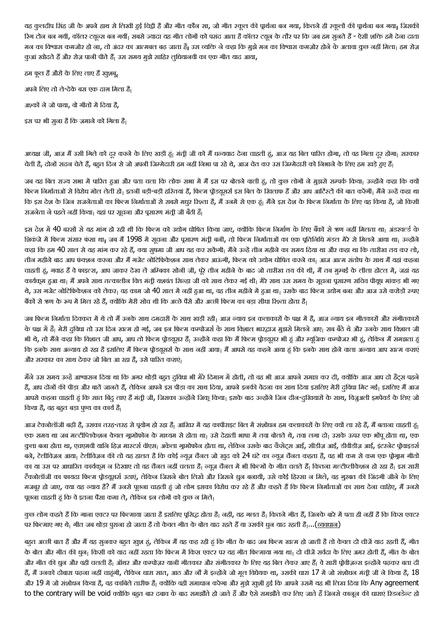यह कुलदीप सिंह जी के अपने हाथ से लिखी हुई विट्ठी हैं और गीत कौन सा, जो गीत स्कूल की पार्थना बन गया की पार्थना बन गया। जिसकी रिग टोन बन गयी, कॉलर टयून्स बन गयीं। सबसे ज्यादा यह गीत लोगों को पसंद आता है कॉलर टयून के तौर पर कि जब हम सुनते हैं - ऐसी शक्ति हमें देना दाता मन का विश्वास कमजोर हो ना, तो अंदर का आत्मबल बढ़ जाता है<sub>।</sub> उस व्यक्ति ने कहा कि मुझे मन का विश्वास कमज़ोर होने के अलावा कुछ नहीं मिला<sub>।</sub> हम रोज़ कुआं खोदते हैं और रोज़ पानी पीते हैं। उस समय मुझे साहिर लूधियानवी का एक गीत याद आया,

हम फूल हैं औरों के लिए लाए हैं खुशबू, अपने लिए तो ले-देके बस एक दाग़ मिला है। अश्कों ने जो पाया, वो गीतों में दिया है, इस पर भी सुना है कि ज़माने को गिला है

अध्यक्ष जी, आज मैं उसी गिले को दूर करने के लिए खड़ी हूं<sub>।</sub> मंत्री जी को मैं धन्यवाद देना चाहती हूं, आज यह बिल पारित होगा, तो वह गिला दूर होगा<sub>।</sub> सरकार चेती हैं, दोनों सदन चेते हैं, बहुत दिन से जो अपनी जिम्मेदारी हम नहीं निभा पा रहे थे, आज चेत कर उस जिम्मेदारी को निभाने के लिए हम खड़े हुए हैं|

जब यह बिल राज्य सभा में पारित हुआ और पता चला कि लोक सभा में मैं इस पर बोलने वाली हूं, तो कुछ लोगों ने मुझसे सम्पर्क किया। उन्होंने कहा कि क्यों फिल्म निर्माताओं से विरोध मोल लेती हो। इतनी बड़ी-बड़ी हरितयां हैं, फिल्म प्रोडयूसर्स इस बिल के खिलाफ हैं और आप आर्टिस्टों की बात करेंगी। मैंने उन्हें कहा था कि इस देश के जिन राजनेताओं का फिल्म निर्माताओं से सबसे मधुर रिश्ता है, मैं उनमें से एक हूं। मैंने इस देश के फिल्म निर्माता के लिए वह किया है, जो किसी राजनेता ने पहले नहीं किया। यहां पर सूचना और पूसारण मंती जी बैठी हैं।

इस देश में 40 बरसों से यह मांग हो रही थी कि फिल्म को उद्योग घोषित किया जाए, क्योंकि फिल्म निर्माण के लिए बैंकों से ऋण नहीं मिलता था। अंडरवर्ल्ड के शिकंजे में फिल्म संसार फंसा था<sub>।</sub> जब मैं 1998 में सूचना और पूसारण मंती बनी, तो फिल्म निर्माताओं का एक पूतिनिधि मंडल मेरे से मिलने आया था<sub>।</sub> उन्होंने कहा कि हम 40 साल से यह मांग कर रहे हैं, क्या सूषमा जी आप यह कर सकेंगी<sub>।</sub> मैंने उन्हें तीन महीने का समय दिया था और कहा था कि तारीख तय कर लो, तीन महीने बाद आप फंदशन करना और मैं गजेट नोटिफिकेशन साथ लेकर आऊंगी, फिल्म को उद्योग घोषित करने का। आज आत्म संतोष के साथ मैं यहां कहना चाहती हूं, गवाह हैं वे फाइल्स, आप जाकर देख लें अम्बिका सोनी जी, पूरे तीन महीने के बाद जो तारीख तय की थी, मैं तब मुम्बई के लीला होटल में, जहां यह कार्यकूम हुआ था| मैं अपने साथ तत्कालीन वित्त मंती यशवंत सिन्हा जी को साथ लेकर गई थी| मेरे साथ उस समय के सूचना पूसारण सचिव पीयूष मांकड़ भी गए थे, उस गजेट नोटिफिकेशन को लेकर। वह काम जो 40 साल में नहीं हुआ था, वह तीन महीने में हुआ था। उसके बाद फिल्म उद्योग बना और आज उसे करोड़ों रुपए बैंकों से ऋण के रूप में मिल रहे हैं, क्योंकि मेरी सोच थी कि अच्छे पैसे और अच्छी फिल्म का बड़ा सीधा रिश्ता होता है।

जब फिल्म निर्माता दिक्कत में थे तो मैं उनके साथ दमदारी के साथ खड़ी रही। आज न्याय इन कलाकारों के पक्ष में हैं, आज न्याय इन गीतकारों और संगीतकारों के पक्ष में हैं। मेरी दविधा तो उस दिन खत्म हो गई, जब इन फिल्म कम्पोजर्स के साथ विशाल भारद्वाज मुझसे मिलने आए। सब बैठे थे और उनके साथ विशाल जी भी थे, तो मैंने कहा कि विशाल जी आप, आप तो फिल्म प्रोडय़ूसर हैं| उन्होंने कहा कि मैं फिल्म प्रोडय़ूसर भी हं और म्यूजिक कम्पोजर भी हं, लेकिन मैं समझता ह कि इनके साथ अन्याय हो रहा है इसलिए मैं फिल्म प्रोडय़ूसर्स के साथ नहीं आया में आपसे यह कहने आया हूं कि इनके साथ होने वाला अन्याय आप खत्म कराएं और सरकार का साथ देकर जो बिल आ रहा है, उसे पारित कराएं<sub>।</sub>

मैंने उस समय उन्हें आश्वासन दिया था कि अगर थोड़ी बहुत दविधा भी मेरे दिमाग में होती, तो वह भी आज आपने समाप्त कर दी, क्योंकि आज आप दो हैंट्स पहने हैं, आप दोनों की पीड़ा और बातें जानते हैं, लेकिन आपने इस पीड़ा का साथ के आज की बेदना का साथ दिया इसलिए मेरी दुविधा मिट गई। इसलिए मैं आज आपसे कहना चाहती हूं कि सात बिंद लाए हैं मंत्री जी, जिसका उन्होंने जिक बाज उन्होंने जिन दीन-दुरिक्यारों के साथ, विजुअली इमपेयर्ड के लिए जो किया है, वह बहुत बड़ा पुण्य का कार्य है।

आज टेक्नोलॉजी बढ़ी है, उसका तरह-तरह से पुयोग हो रहा है| आखिर में यह कापीराइट बिल में संशोधन हम कलाकारों के लिए क्यों ला रहे हैं, मैं बताना चाहती हं| एक समय था जब मल्टीप्लिकेशन केवल गूमोफोन के माध्यम से होता था<sub>।</sub> उसे देहाती भाषा में तवा बोलते थे, तवा लगा दो<sub>।</sub> उसके ऊपर एक भोंपू होता था, एक कुत्ता बना होता था, एचएमवी यानि हिज़ मारटर्स वॉएस<sub>।</sub> अकेला गामोफोन होता था, लेकिन उसके बाद कैसेट्स आई, आई, डीवीडीज़ आई, इंटरनेट प्रोवाइडर्स बने, टेलीविज़न आया<sub>।</sub> टेलीविज़न की तो यह हालत है कि कोई न्यूज़ चैनल जो खद को 24 घंटे का न्यूज चैनल कहता है, वह भी कम से कम एक पोगाम गीतों का या उस पर आधारित कार्यकुम न दिखाए तो वह चैनल नहीं चलता है| न्यूज़ चैनल में भी फिल्मों के गीत चलते हैं| कितना मल्टीप्लीकेशन हो रहा है| इस सारी टैक्नोलॉजी का फायदा फिल्म प्रोडय़ूसर्स उठाएं, लेकिन जिसने बोल लिखे और जिसने धुन बनायी, उसे कोई हिस्सा न मिले, वह गुरुबत की जिंदगी जीने के लिए मजबूर हो जाए, क्या यह न्याय है? मैं उनसे पूछना चाहती हूं जो लोग इसका विरोध कर रहे हैं और कहते हैं कि फिल्म निर्माताओं का साथ देना चाहिए, मैं उनसे पूछना चाहती हूं कि वे इतना पैंसा कमा ले, लेकिन इन लोगों को कुछ न मिले।

कुछ लोग कहते हैं कि गाना एक्टर पर फिल्माया जाता है इसलिए पूसिद्ध होता है<sub>।</sub> वहीं, यह गलत है<sub>।</sub> कितने गीत हैं, जिनके बारे में पता ही नहीं है कि किस एक्टर पर फिल्माए गए थे<sub>।</sub> गीत जब थोड़ा पुराना हो जाता है तो केवल गीत के बोल याद रहते हैं या उसकी धुन याद रहती है….(<u>व्यवधान</u>)

बहुत अच्छी बात है और मैं यह सुनकर बहुत खुश हं, लेकिन मैं यह कह रही हं कि गीत के बाद जब फिल्म खत्म हो जाती है तो केवल दो चीजें याद रहती हैं, गीत के बोल और गीत की धन्। किसी को याद नहीं रहता कि फिल्म में किस एक्टर पर यह गीत फिल्माया गया था। दो चीजें सर्वदा के लिए अमर होती हैं, गीत के बोल और गीत की धून और वही चलती हैं। ऑथर और कम्पोज़र यानी गीतकार और संगीतकार के लिए यह बिल लेकर आए हैं। वे सारी प्रोवीज़न्स इन्होंने पढ़कर बता दी हैं, मैं उनको दोबारा पढ़ना नहीं चाहूंगी, लेकिन धारा सात, आठ और नौ में इन्होंने जो मूल विधेयक था, उसकी धारा 17 में जो संशोधन मंती जी ने किया है, 18 और 19 में जो संशोधन किया है, वह काबिले तारीफ है<sub>।</sub> क्योंकि वही समाधान करेगा और मुझे खुशी हुई कि आपने उसमें यह भी लिख दिया कि Any agreement to the contrary will be void क्योंकि बहुत बार दबाव के बाद समझौते हो जाते हैं और ऐसे समझौते कर लिए जाते हैं जिनसे कानून की धाराएं रिडनडेन्ट हो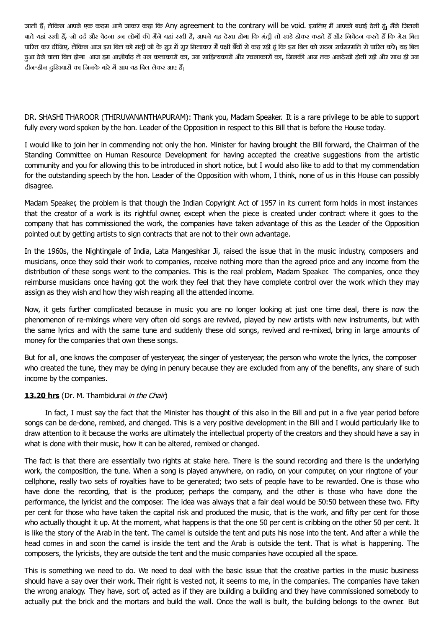जाती हैं| लेकिन आपने एक कदम आगे जाकर कहा कि Any agreement to the contrary will be void. इसलिए मैं आपको बधाई देती हूं| मैंने जितनी बाते यहां रखी हैं, जो दर्द और वेदना उन लोगों की मैंने यहां रखी है, आपने यह देखा होगा कि मंती तो खड़े होकर कहते हैं और निवेदन करते हैं कि मेरा बिल पारित कर दीजिए, लेकिन आज इस बिल को मंती जी के सुर में सुर मिलाकर मैं पक्षी बैंचों से कह रही हूं कि इस बिल को सदन सर्वसम्मति से पारित करे<sub>।</sub> यह बिल दुआ देने वाला बिल होगा। आज हम आशीर्वाद लें उन कलाकारों का, उन साहित्यकारों और रचनाकारों का, जिनकी आज तक अनदेखी होती रही और साथ ही उन दीन-हीन दुखियारों का जिनके बारे में आप यह बिल लेकर आए हैं।

DR. SHASHI THAROOR (THIRUVANANTHAPURAM): Thank you, Madam Speaker. It is a rare privilege to be able to support fully every word spoken by the hon. Leader of the Opposition in respect to this Bill that is before the House today.

I would like to join her in commending not only the hon. Minister for having brought the Bill forward, the Chairman of the Standing Committee on Human Resource Development for having accepted the creative suggestions from the artistic community and you for allowing this to be introduced in short notice, but I would also like to add to that my commendation for the outstanding speech by the hon. Leader of the Opposition with whom, I think, none of us in this House can possibly disagree.

Madam Speaker, the problem is that though the Indian Copyright Act of 1957 in its current form holds in most instances that the creator of a work is its rightful owner, except when the piece is created under contract where it goes to the company that has commissioned the work, the companies have taken advantage of this as the Leader of the Opposition pointed out by getting artists to sign contracts that are not to their own advantage.

In the 1960s, the Nightingale of India, Lata Mangeshkar Ji, raised the issue that in the music industry, composers and musicians, once they sold their work to companies, receive nothing more than the agreed price and any income from the distribution of these songs went to the companies. This is the real problem, Madam Speaker. The companies, once they reimburse musicians once having got the work they feel that they have complete control over the work which they may assign as they wish and how they wish reaping all the attended income.

Now, it gets further complicated because in music you are no longer looking at just one time deal, there is now the phenomenon of re-mixings where very often old songs are revived, played by new artists with new instruments, but with the same lyrics and with the same tune and suddenly these old songs, revived and re-mixed, bring in large amounts of money for the companies that own these songs.

But for all, one knows the composer of yesteryear, the singer of yesteryear, the person who wrote the lyrics, the composer who created the tune, they may be dying in penury because they are excluded from any of the benefits, any share of such income by the companies.

## **13.20 hrs** (Dr. M. Thambidurai in the Chair)

In fact, I must say the fact that the Minister has thought of this also in the Bill and put in a five year period before songs can be de-done, remixed, and changed. This is a very positive development in the Bill and I would particularly like to draw attention to it because the works are ultimately the intellectual property of the creators and they should have a say in what is done with their music, how it can be altered, remixed or changed.

The fact is that there are essentially two rights at stake here. There is the sound recording and there is the underlying work, the composition, the tune. When a song is played anywhere, on radio, on your computer, on your ringtone of your cellphone, really two sets of royalties have to be generated; two sets of people have to be rewarded. One is those who have done the recording, that is the producer, perhaps the company, and the other is those who have done the performance, the lyricist and the composer. The idea was always that a fair deal would be 50:50 between these two. Fifty per cent for those who have taken the capital risk and produced the music, that is the work, and fifty per cent for those who actually thought it up. At the moment, what happens is that the one 50 per cent is cribbing on the other 50 per cent. It is like the story of the Arab in the tent. The camel is outside the tent and puts his nose into the tent. And after a while the head comes in and soon the camel is inside the tent and the Arab is outside the tent. That is what is happening. The composers, the lyricists, they are outside the tent and the music companies have occupied all the space.

This is something we need to do. We need to deal with the basic issue that the creative parties in the music business should have a say over their work. Their right is vested not, it seems to me, in the companies. The companies have taken the wrong analogy. They have, sort of, acted as if they are building a building and they have commissioned somebody to actually put the brick and the mortars and build the wall. Once the wall is built, the building belongs to the owner. But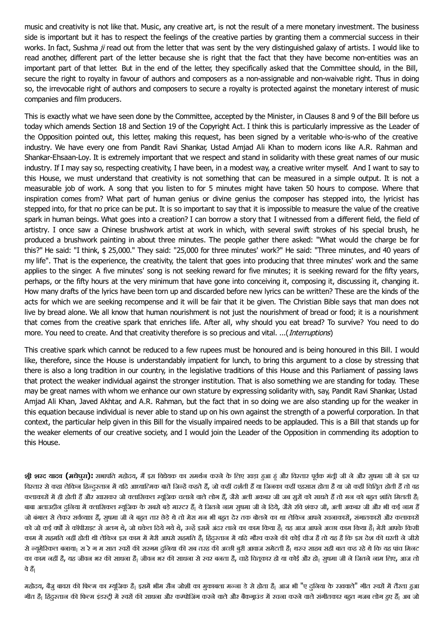music and creativity is not like that. Music, any creative art, is not the result of a mere monetary investment. The business side is important but it has to respect the feelings of the creative parties by granting them a commercial success in their works. In fact, Sushma ji read out from the letter that was sent by the very distinguished galaxy of artists. I would like to read another, different part of the letter because she is right that the fact that they have become non-entities was an important part of that letter. But in the end of the letter, they specifically asked that the Committee should, in the Bill, secure the right to royalty in favour of authors and composers as a non-assignable and non-waivable right. Thus in doing so, the irrevocable right of authors and composers to secure a royalty is protected against the monetary interest of music companies and film producers.

This is exactly what we have seen done by the Committee, accepted by the Minister, in Clauses 8 and 9 of the Bill before us today which amends Section 18 and Section 19 of the Copyright Act. I think this is particularly impressive as the Leader of the Opposition pointed out, this letter, making this request, has been signed by a veritable who-is-who of the creative industry. We have every one from Pandit Ravi Shankar, Ustad Amjad Ali Khan to modern icons like A.R. Rahman and Shankar-Ehsaan-Loy. It is extremely important that we respect and stand in solidarity with these great names of our music industry. If I may say so, respecting creativity, I have been, in a modest way, a creative writer myself. And I want to say to this House, we must understand that creativity is not something that can be measured in a simple output. It is not a measurable job of work. A song that you listen to for 5 minutes might have taken 50 hours to compose. Where that inspiration comes from? What part of human genius or divine genius the composer has stepped into, the lyricist has stepped into, for that no price can be put. It is so important to say that it is impossible to measure the value of the creative spark in human beings. What goes into a creation? I can borrow a story that I witnessed from a different field, the field of artistry. I once saw a Chinese brushwork artist at work in which, with several swift strokes of his special brush, he produced a brushwork painting in about three minutes. The people gather there asked: "What would the charge be for this?" He said: "I think, \$ 25,000." They said: "25,000 for three minutes' work?" He said: "Three minutes, and 40 years of my life". That is the experience, the creativity, the talent that goes into producing that three minutes' work and the same applies to the singer. A five minutes' song is not seeking reward for five minutes; it is seeking reward for the fifty years, perhaps, or the fifty hours at the very minimum that have gone into conceiving it, composing it, discussing it, changing it. How many drafts of the lyrics have been torn up and discarded before new lyrics can be written? These are the kinds of the acts for which we are seeking recompense and it will be fair that it be given. The Christian Bible says that man does not live by bread alone. We all know that human nourishment is not just the nourishment of bread or food; it is a nourishment that comes from the creative spark that enriches life. After all, why should you eat bread? To survive? You need to do more. You need to create. And that creativity therefore is so precious and vital. ...(*Interruptions*)

This creative spark which cannot be reduced to a few rupees must be honoured and is being honoured in this Bill. I would like, therefore, since the House is understandably impatient for lunch, to bring this argument to a close by stressing that there is also a long tradition in our country, in the legislative traditions of this House and this Parliament of passing laws that protect the weaker individual against the stronger institution. That is also something we are standing for today. These may be great names with whom we enhance our own stature by expressing solidarity with, say, Pandit Ravi Shankar, Ustad Amjad Ali Khan, Javed Akhtar, and A.R. Rahman, but the fact that in so doing we are also standing up for the weaker in this equation because individual is never able to stand up on his own against the strength of a powerful corporation. In that context, the particular help given in this Bill for the visually impaired needs to be applauded. This is a Bill that stands up for the weaker elements of our creative society, and I would join the Leader of the Opposition in commending its adoption to this House.

**श्री शरद यादव (मधेपुरा):** सभापति महोदय, मैं इस विधेयक का समर्थन करने के लिए खड़ा हुआ हूं और विस्तार पूर्वक मंत्री जी ने और सुषमा जी ने इस पर विस्तार से कहा लेकिन हिन्दुस्तान में यदि आध्यात्मिक बातें जिन्हें कहते हैं, जो कहीं दर्शती हैं या जिनका कहीं हम्बा के कहीं किंतित होती हैं तो वह कलाकारों में ही होती हैं और खासकर जो क्लासिकल म्यूजिक चलाने वाले लोग हैं, जैसे अली अकबर जी जब सुरों को साधते हैं तो मन को बहुत शांति मिलती है| बाबा अलाउदीन दुनिया में क्लासिकल म्यूजिक के सबसे बड़े मास्टर हैं| ये जितने नाम सुषमा जी ने दिये, जैसे रवि शंकर जी, अली अकबर जी और भी कई नाम हैं जो बंगाल से लेकर सर्वव्याप्त हैं, सुषमा जी ने बहुत तार छेड़े थे तो मेरा मन भी बहुत देर तक बोलने का था लेकिन आपने रचनाकारों, संगातकारों और कलाकारों को जो कई वर्षों से कॉपीराइट से अलग थे, जो धकेल दिये गये थे, उन्हें इसमें अंदर लाने का काम किया है। बाया आपने अच्छा काम किया है। मेरी आपके किसी काम में सहमति नहीं होती थी लेकिन इस काम में मेरी आपसे सहमति हैं। हिंदुस्तान में यदि गौरव करने की कोई चीज है तो यह है कि इस देश की धरती ने जीरो से न्यूमेरिकल बनाया<sub>।</sub> स रे ग म सात स्वरों की सरगम दुनिया की सब तरह की अच्छी बूरी आवाज समेटती है<sub>।</sub> थरुर साहब सही बात कह रहे थे कि यह पांच मिनट का काम नहीं है, यह जीवन भर की साधना है| जीवन भर की साधना से स्वर बनता है, चाहे चितूकार हो या कोई और हो| सुषमा जी ने जितने नाम लिए, आज तो वे हैं

महोदय, बैंजू बावरा की फिल्म का म्यूजिक हैं। इसमें भीम सैन जोशी का मुकाबला मन्जा डे से होता हैं। आज भी "ए दुनिया के रखवाले" गीत स्वरों में तैरता हुआ गीत हैं। हिंदुस्तान की फिल्म इंडस्टी में स्वरों की साधना और कम्पोजिंग करने वाले अंदाज करने करने वाले संगीतकार बहुत गजब लोग हुए हैं। अब जो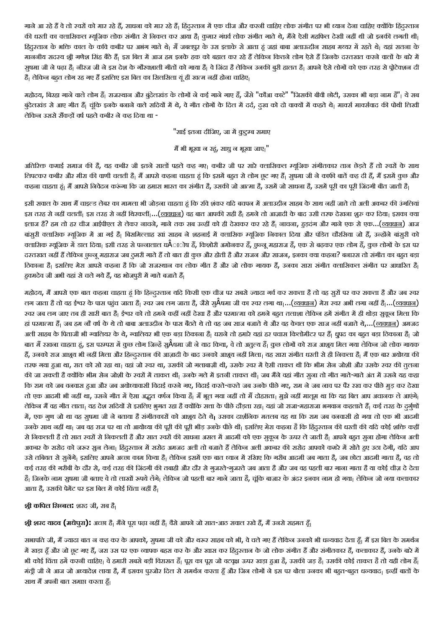गाने आ रहे हैं वे तो स्वरों को मार रहे हैं, साधना को मार रहे हैं<sub>।</sub> हिंदुस्तान में एक चीज और करनी चाहिए लोक संगीत पर भी ध्यान देना चाहिए क्योंकि हिंदुस्तान की धरती का क्लासिकल म्यूजिक लोक संगीत से निकल कर आया है| कुमार गंधर्व लोक संगीत गाते थे, मैंने ऐसी महफिल देखी नहीं थी जो इनकी लगती थी| हिंदुरतान के भक्ति काल के कवि कबीर पर अभंग गाते थे<sub>।</sub> मैं जबलपुर के उस इलाके से आता हूं जहां बाबा अलाऊदीन साहब मच्यर में रहते थे<sub>।</sub> यहां सतना के माननीय सदस्य श्री गणेश सिंह बैठे हैं। इस बिल में आज हम इनके हक को बहाल कर रहे हैं लेकिन कितने लोग ऐसे हैं जिनके दस्तखत करने वालों के बारे में सुषमा जी ने पढ़ा है| नीरज जी ने इस देश के गौरवशाली गीतों को गाया है| वे जिंदा है लेकिन उनकी बुरी हालत है| आपने ऐसे लोगों को एक तरह से प्रोटेक्शन दी है। लेकिन बहुत लोग रह गए हैं इसलिए इस बिल का सिलसिला यूं ही खत्म नहीं होना चाहिए।

महोदय, बिरहा गाने वाले लोग हैं| राजस्थान और बुंदेलखंड के लोगों ने कई गाने गाए हैं, जैसे "कौआ काटे" "जिसकी बीवी छोटी, उसका भी बड़ा नाम है"| ये सब बुंदेलखंड से आए गीत हैं| चूंकि इनके बनाने वाले सदियों में थे, वे गीत लोगों के दर्द, तुख को दो वाक्यों में कहते थे| मार्क्स मार्क्सवाद की पोथी लिखी लेकिन उससे सैंकड़ों वर्ष पहले कबीर ने कह दिया था -

"साई इतना दीजिए, जा में कूटुम्ब समाए

मैं भी भूखा न रहूं, साधु न भूखा जाए "

अतिरिक्त कमाई समाज की है, यह कबीर जी इतने सालों पहले कह गए। कबीर जी पर सारे क्लासिकल म्यूजिक संगीतकार तान छेड़ते हैं तो स्वरों के साथ लिपटकर कबीर और मीरा की वाणी चलती है| मैं आपसे कहना चाहता हूं कि इसमें बहुत से लोग छूट गए हैं| सूषमा जी ने काफी बातें कह दी हैं, मैं इसमें कुछ और कहना चाहता हूं। मैं आपसे निवेदन करूंगा कि जा हमारा भारत का संगीत है, उसकी जो आत्मा है, उसमें जो साधना है, उसमें पूरी का पूरी जिंदगी बीत जाती है।

इसी सवाल के साथ मैं चाइल्ड लेबर का मामला भी जोड़ना चाहता हुं कि रवि शंकर यदि बचपन में अलाउद्दीन साहब के साथ नहीं जाते तो अली अकबर की उंगलियां इस तरह से नहीं चलतीं<sub>।</sub> इस तरह से नहीं थिरकतीं<sub>।</sub>...(<u>व्यवधान</u>) वह बात आपकी सही है<sub>।</sub> हमने तो आज़ादी के बाद उसी तरफ देखना शुरु कर दिया<sub>।</sub> इसका क्या इलाज है? हम तो हर चीज आईपीएल से लेकर नाचने, गाने तक सब उन्हीं को ही देखकर कर रहे हैं<sub>।</sub> नाचना, हुड़दंग और गाने एक से एक...(<u>व्यवधान)</u> आज बांसुरी क्लासिक म्यूजिक में आ गई हैं। बिसमिल्लाह खां साहब ने शहनाई में क्लासिक म्यूजिक निकाल दिया और पंडित चौरसिया जो हैं, उन्होंने बांसुरी को क्लासिक म्यूजिक में डाल दिया<sub>।</sub> इसी तरह से पन्नालाल घÂाोष हैं, किशोरी अमोनकर हैं, छुन्नू महाराज हैं, एक से बढ़कर एक लोग हैं, कुछ लोगों के इस पर दरतखत नहीं हैं लेकिन छुन्नू महाराज जब ठुमरी गाते हैं तो बात ही कुछ और होती है और राजन और साजन, इनका क्या कहना? बनारस तो संगीत का बहुत बड़ा ठिकाना है| इसलिए मेरा आपसे कहना है कि जो राजस्थान का लोक गीत है और जो लोक गायक हैं, उनका सारा संगीत क्लासिकल संगीत पर आधारित है| हुवमदेव जी अभी यहां से चले गये हैं, वह भोजपूरी में गाते बजाते हैं|

महोदय, मैं आपसे एक बात कहना चाहता हूं कि हिन्दुस्तान यदि किसी एक चीज पर सबसे ज्यादा गर्व कर सकता है तो वह सुरों पर कर सकता है और जब स्वर लग जाता है तो वह ईश्वर के पास पहुंच जाता है<sub>।</sub> स्वर जब लग जाता है, जैसे सुÂषमा जी का स्वर लगा था…(<u>व्यवधान)</u> मेरा स्वर अभी लगा नहीं है,…(<u>व्यवधान)</u> स्वर जब लग जाए तब ही सारी बात है<sub>।</sub> ईश्वर को तो हमने कहीं नहीं नहीं तरे हमीर परमात्मा को हमने बहुत तलाशा लेकिन हमें संगीत में ही थोड़ा सुकून मिला कि हां परमात्मा हैं<sub>।</sub> जब हम नौ वर्ष के थे तो बाबा अलाउद्दीन के पास बैठते थे तो वह जब साज बजाते थे के बजाते थे,...(व्यव<u>धान)</u> अमजद अली साहब के पिताजी भी ग्वालियर के थे, ग्वालियर भी एक बड़ा ठिकाना है। घराने तो हमारे यहां हर पचास किलोमीटर पर हैं। धूपद का बहुत बड़ा ठिकाना है। जो बात मैं रखना चाहता हूं, इस परम्परा में कुछ लोग जिन्हें सुÂषमा जी ने याद किया, वे तो अतुल्य हैं<sub>।</sub> कुछ लोगों को राज आशूय मिल गया लेकिन जो लोक गायक हैं, उनको राज आशूय भी नहीं मिला और हिन्दुस्तान की आज़ादी के बाद उनको आशूय नहीं मिला<sub>।</sub> यह सारा संगीत धरती से ही निकला है<sub>।</sub> मैं एक बार अयोध्या की तरफ गया हुआ था, रात को सो रहा था<sub>।</sub> वहां जो स्वर था, उसकी जो गलाबाज़ी थी, उसके स्वर में ऐसी ताकत थी कि भीम सेन जोशी और उसके स्वर की तुलना की जा सकती है क्योंकि भीम सेन जोशी के स्वरों में ताकत थी<sub>।</sub> उनके गले में इतनी ताकत थी<sub>।</sub> जब मैंने वहां गीत सुना तो गीत गाते-गाते अंत में उसने यह कहा कि राम को जब वनवास हुआ और जब अयोध्यावासी विदाई करने गए, विदाई करते-करते जब उनके पीछे गए, राम ने जब नाव पर पैर रख कर पीछे मुड़ कर देखा तो एक आदमी भी नहीं था, उसने गीत में ऐसा अद्भुत वर्णन किया है| मैं भूल गया नहीं तो मैं दोहराता| मुझे नहीं मालूम था कि यह बिल आप अचानक ले आएंगे| लेकिन मैं वह गीत लाता<sub>।</sub> यह देश सदियों से इसलिए भुगत रहा है क्योंकि सत्ता के पीछे दौड़ता रहा। यहां जो राजा-महाराजा भगवान कहलाते हैं<sub>।</sub> कई तरह के दुर्गुणों में, एक गुण जो था वह सुषमा जी ने बताया है संगीतकारों को आशूय देते थे<sub>।</sub> उसका दार्शनिक मतलब यह था कि राम जब वनवासी हो गया तो एक भी आदमी उनके साथ नहीं था<sub>।</sub> जब वह राज पर था तो आयोध्या की पूरी की पूरी भीड़ उनके पीछे थी<sub>।</sub> इसलिए मेरा कहना है कि हिंदुस्तान की धरती की यदि कोई शक्ति कहीं से निकलती है तो सात स्वरों से निकलती हैं और सात स्वरों की साधना असल में आदमी को एक सकन के ऊपर ले जाती हैं। आपने बहुत सना होगा लेकिन अली अकबर के सरोद को जरूर सुन लेना। हिंदुस्तान में सरोद अमजद अली तो बजाते हैं लेकिन अली अकबर की सरोद आपको कमरे में सोते हुए उठा देगी, यदि आप उसे तबियत से सुनेंगे<sub>।</sub> इसलिए आपने अच्छा काम किया है<sub>।</sub> लेकिन इसमें एक बात ध्यान में रखिए कि गरीब आदमी जब गाता है, जब छोटा आदमी गाता है, वह तो कई तरह की गरीबी के दौर से, कई तरह की जिंदगी की तबाही और दौर से गुजरते-गुजरते जब आता है और जब वह पहली बार गाना गाता है या कोई चीज़ दे देता है। जिनके नाम सुषमा जी बताए वे तो लाखों रूपये लेंगे| लेकिन जो पहली बार गाने जाता है, चूंकि बाजार के अंदर इनका नाम हो गया| लेकिन जो नया कलाकार आता है, उसकी पेमेंट पर इस बिल में कोई चिंता नहीं है।

**श्री कपिल सिब्बल:** शरद जी, सब हैं<sub>।</sub>

**श्री शरद यादव (मधेपुरा):** अच्छा है<sub>।</sub> मैंने पूरा पढ़ा नहीं है<sub>।</sub> वैसे आपने जो सात-आठ सवाल रखे हैं, मैं उनसे सहमत हूँ<sub>।</sub>

सभापति जी, मैं ज्यादा बात न कह कर के आपको, सुषमा जी को और थरूर साहब को भी, वे चले गए हैं लेकिन उनको भी धन्यवाद देता हूँ| मैं इस बिल के समर्थन में खड़ा हूँ और जो छूट गए हैं, जरा उस पर एक व्यापक बहस कर के और खास कर हिंदुस्तान के जो लोक संगीत हैं और संगीतकार हैं, कलाकार हैं, उनके बारे में भी कोई विंता हमें करनी चाहिए| वे हमारी सबसे बड़ी विरासत हैं| पूरा का पूरा जो वटवृक्ष ऊपर खड़ा हुआ है, उसकी जड़ है| उसकी कोई ताकत है तो यही लोग हैं| मंत्री जी ने आज जो अध्यादेश लाया है, मैं इसका पुरजोर दिल से समर्थन करता हूँ और जिन लोगों ने इस पर बोला उनका भी बहुत-बहुत धन्यवाद<sub>।</sub> इन्हीं बातों के साथ मैं अपनी बात समाप्त करता हैं।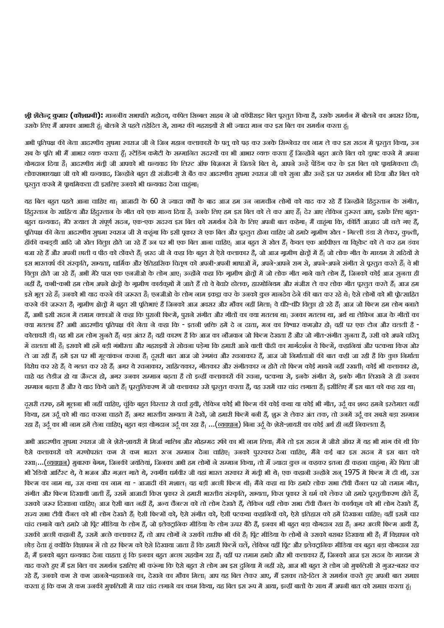**श्री शैलेन्द्र कुमार <b>(**कौशाम्बी): माननीय सभापति महोदय, कपिल सिब्बल साहब ने जो कॉपीराइट बिल पूरतुत किया है, उसके समर्थन में बोलने का अवसर दिया, उसके लिए मैं आपका आभारी हूं। बोलने से पहले तहेदिल से, सागर की गहराइयों से भी ज्यादा मान कर इस बिल का समर्थन करता हूं।

अभी पूतिपक्ष की नेता आदरणीय सुषमा स्वराज जी ने जिन महान कलाकारों के पतू को पढ़ कर उनके सिग्नेचर का नाम ले कर इस सदन में पूस्तुत किया, उन सब के पूति भी मैं आभार व्यक्त करता हूँ<sub>।</sub> स्टेंडिंग कमेटी के सम्मानित सदस्यों का भी आभार व्यक्त करता हूँ जिन्होंने बहुत अच्छे बिल को ड्राप्ट करने में अपना योगदान दिया है| आदरणीय मंत्री जी आपको भी धन्यवाद कि लिस्ट ऑफ बिज़नस में जितने बिल थे, आपने उन्हें पेंडिंग कर के इस बिल को प्राथमिकता दी| लोकसभाध्यक्षा जी को भी धन्यवाद, जिन्होंने बहुत ही संजीदगी से बैठ कर आदरणीय सुषमा स्वराज जी को सुना और उन्हें इस पर समर्थन भी दिया और बिल को पूरतूत करने में पृथमिकता दी इसलिए उनको भी धन्यवाद देना चाहुंगा।

यह बिल बहुत पहले आना चाहिए था<sub>।</sub> आजादी के 60 से ज्यादा वर्षों के बाद आज हम उन नामचीन लोगों को याद कर रहे हैं जिन्होंने हिंदरतान के संगीत, हिंदुस्तान के साहित्य और हिंदुस्तान के गीत को एक मान्य दिया है। उनके लिए हम इस बिल को ले कर आए हैं। देर आए लेकिन दुरूस्त आए, इसके लिए बहुत-बहुत धन्यवाद। मेरे ख्याल से संपूर्ण सदन, एक-एक सदस्य इस बिल को समर्थन देने के लिए अपनी बात कहेगा। मैं चाहुंगा कि, कीर्ति आज़ाद जी चले गए हैं, पूतिपक्ष की नेता आदरणीय सुषमा स्वराज जी से कहूंगा कि इसी पूकार से एक बिल और पूस्तूत होना चाहिए जो हमारे गुप्ती, कहती हंडा से लेकर, कुश्ती, हॉकी कबड़डी आदि जो खेल विलप्त होते जा रहे हैं उन पर भी एक बिल आना चाहिए। आज बहुत से खेल हैं। केवल एक आईपीएल या क्रिकेट को ले कर हम डंका बजा रहे हैं और अपनी छाती व पीठ को ठोंकते हैं| शरद जी ने कहा कि बहुत से ऐसे कलाकार है, जो आज ग्रामीण क्षेत्रों में हैं| जो लोक गीत के माध्यम से सदियों से इस भारतवर्ष की संस्कृति, सभ्यता, धार्मिक और ऐतिहासिक चितूण को अपनी-अपनी भाषाओं में, अपने-आपने संग, अपने-अपने संगीत से पूरतुत करते हैं। वे भी विलुप्त होते जा रहे हैं| अभी मेरे पास एक एनजीओ के लोग आए। उन्होंने कहा कि गृमीण क्षेतों में जो लोक गीत गाने वाले लोग हैं, जिनको कोई आज सुनता ही नहीं है, कभी-कभी हम लोग अपने क्षेतों के गामीण कार्यकुमों में जाते हैं तो वे बेचारे ढोलक, हारमोनियम और मंजीरा ले कर लोक गीत पुस्तत करते हैं| आज हम इसे भूल रहे हैं| उनको भी याद करने की जरूरत है| एनजीओ के लोग नाम इकट्ठा कर के उनको कुछ मानदेय देने की बात कर रहे थे| ऐसे लोगों को भी प्रोत्साहित करने की जरूरत है| गूमीण क्षेत्रों में बहुत सी प्रतिभाएं हैं जिनको आज अवसर और मौका नहीं मिला| वे धीरे-धीरे वितुप्त हो रहे हैं| आज जो फिल्म हम लोग बनाते हैं, अभी इसी सदन में तमाम वक्ताओं ने कहा कि पुरानी फिल्में, पूराने संगीत और गीतों का क्या मतलब था, अब आज के आज के गीतों का क्या मतलब है? अभी आदरणीय पतिपक्ष की नेता ने कहा कि - इतनी शक्ति हमें दे न दाता, मन का विश्वार कमज़ोर हो<sub>।</sub> वहीं पर एक टोन और चलती है -कोलावरी डी। वह भी हम लोग सूनते हैं। बड़ा अंतर है। यही कारण है कि आज का नौजवान जो फिल्म देखता है और जो गीत-संगीत सूनता है, उसी को अपने चरितू में ढालता भी है<sub>।</sub> इसको भी हमें बड़ी गंभीरता और गहराइयों से सोचना पड़ेगा कि हमारी आने वाली पीढी का मार्गदर्शन ये फिल्में, कहानियां और पटकथा किस ओर ले जा रही हैं| हमें इस पर भी मूल्यांकन करना है| दूसरी बात आज जो रंगमंच और रचनाकार हैं, आज जो निर्माताओं की बात कही जा रही है कि कुछ निर्माता विरोध कर रहे हैं| वे गलत कर रहे हैं| अगर ये रचनाकार, साहित्यकार, गीतकार और संगीतकार न होते तो फिल्म कोई मायने नहीं रखती| कोई भी कलाकार हो, चाहे वह लेडीज हो या जैन्टस हो, अगर उनका सम्मान बढ़ता है तो इन्हीं कलाकारों की रचना, पटकथा से, इनके संगीत से, इनके गीत लिखने से ही उनका सम्मान बढ़ता है और वे याद किये जाते हैं<sub>।</sub> पूरतूतिकरण में जो कलाकार उसे पूरतूत करता है, वह उसमें चार चांद लगाता है<sub>।</sub> इसीलिए मैं इस बात को कह रहा था<sub>।</sub>

दूसरी तरफ, हमें भूलना भी नहीं चाहिए, चूंकि बहुत विस्तार से चर्चा हुथी, लेकिन कोई भी फिल्म की कोई भी जीत, उर्दू का शब्द हमने इस्तेमाल नहीं किया, हम उर्दू को भी याद करना चाहते हैं| अगर भारतीय सभ्यता में देखें, जो हमारी फिल्में बनी हैं, शुरू से लेकर अंत तक, तो उनमें उर्दू का सबसे बड़ा सम्मान रहा है<sub>।</sub> उर्दू का भी नाम हमें लेना चाहिए<sub>।</sub> बहुत बड़ा योगदान उर्दू का रहा है<sub>।</sub> ...(<u>व्यवधान</u>) बिना उर्दू के शेरो-शायरी का कोई अर्थ ही नहीं निकलता है<sub>।</sub>

अभी आदरणीय सुषमा स्वराज जी ने शेरो-शायरी में मिर्जा गालिब और मोहम्मद रफी का भी नाम लिया। मैंने तो इस सदन में जीरो ऑवर में यह भी मांग की थी कि ऐसे कलाकारों को मरणोपरांत कम से कम भारत रत्न सम्मान देना चाहिए<sub>।</sub> उनको पुरस्कार देना चाहिए, मैंने कई बार इस सदन में इस बात को रखा…(<u>व्यवधान</u>) मुबारक बेगम, जिनकी जयंतियां, जिनका अभी हम लोगों ने सम्मान किया, तो मैं ज्यादा कुछ न कहकर इतना ही कहना चाहंगा<sub>।</sub> मेरे पिता जी भी रेडियो आर्टिस्ट थे, वे भजन और गज़ल गाते थे, स्वर्गीय धर्मवीर जी यहां भारत सरकार में मंती भी थे। एक कहानी उन्होंने सन् 1975 में फिल्म में दी थी, उस फिल्म का नाम था, उस कथा का नाम था - आजादी की मशाल<sub>।</sub> वह बड़ी अच्छी फिल्म थी<sub>।</sub> मैंने कहा था कि हमारे लोक सभा टीवी चैनल पर जो तमाम गीत, संगीत और फिल्म दिखायी जाती हैं, उसमें आजादी किस पुकार से हमारी भारतीय संस्कृति, सभ्यता, किस पुकार से धर्म को लेकर जो हमारे पुस्तुतीकरण होते हैं, उसको जरूर दिखाना चाहिए। आज ऐसी बात नहीं है, अन्य चैनटस को तो लोग देखते हैं, लेकिन वहीं लोक सभा टीवी चैनल के कार्यकम को भी लोग देखते हैं, राज्य सभा टीवी चैनल को भी लोग देखते हैं। ऐसी फिल्मों को, ऐसे संगीत को, ऐसी पटकथा कहानियों को, ऐसे इतिहास को हमें दिखाना चाहिए। वहीं इसमें चार चांद लगाने वाले हमारे जो पिूट मीडिया के लोग हैं, जो इलेक्ट्रानिक मीडिया के लोग ऊपर बैठे हैं, इनका भी बहुत बड़ा योगदान रहा है<sub>।</sub> अगर अच्छी फिल्म आयी है, उसकी अच्छी कहानी है, उसमें अच्छे कलाकार हैं, तो आप लोगों ने उसकी तारीफ भी की है। पिट मीडिया के लोगों ने उसको बराबर दिखाया भी है। मैं विज्ञापन को छोड़ देता हूं क्योंकि विज्ञापन में तो हर फिल्म को ऐसे दिखाया जाता है कि हमारी फिलमें चलें, लेकिन वहीं प्रिंट और इलेक्ट्रानिक मीडिया का बहुत बड़ा योगदान रहा है<sub>।</sub> मैं इनको बहुत धन्यवाद देना चाहता हूं कि इनका बहुत अच्छा सहयोग रहा है<sub>।</sub> वहीं पर तमाम हमारे और भी कलाकार हैं, जिनको आज इस सदन के माध्यम से याद करते हुए मैं इस बिल का समर्थन इसलिए भी करूंगा कि ऐसे बहुत से लोग अब इस दुनिया में नहीं रहे, आज भी बहुत से लोग जो मुफलिसी से गुजर-बसर कर रहे हैं, उनको कम से कम जानने-पहचानने का, देखने का मौका मिला। आप यह बिल लेकर आए, मैं इसका तहे-दिल से समर्थन करते हुए अपनी बात समाप्त

करता हूं कि कम से कम उनकी मुफलिसी में चार चांद लगाने का काम किया, यह बिल इस रूप में आया, इन्हीं बातों के साथ मैं अपनी बात को समाप्त करता हूं।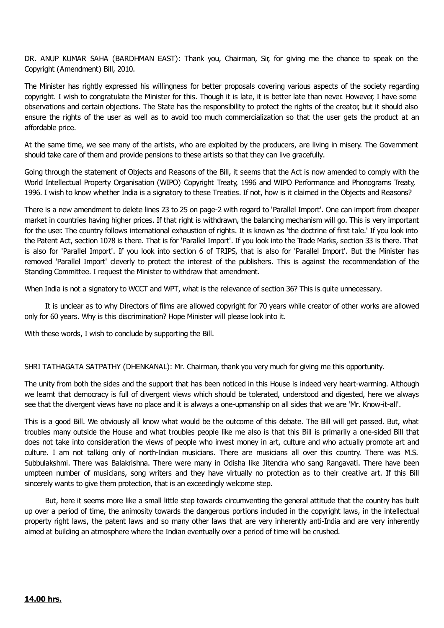DR. ANUP KUMAR SAHA (BARDHMAN EAST): Thank you, Chairman, Sir, for giving me the chance to speak on the Copyright (Amendment) Bill, 2010.

The Minister has rightly expressed his willingness for better proposals covering various aspects of the society regarding copyright. I wish to congratulate the Minister for this. Though it is late, it is better late than never. However, I have some observations and certain objections. The State has the responsibility to protect the rights of the creator, but it should also ensure the rights of the user as well as to avoid too much commercialization so that the user gets the product at an affordable price.

At the same time, we see many of the artists, who are exploited by the producers, are living in misery. The Government should take care of them and provide pensions to these artists so that they can live gracefully.

Going through the statement of Objects and Reasons of the Bill, it seems that the Act is now amended to comply with the World Intellectual Property Organisation (WIPO) Copyright Treaty, 1996 and WIPO Performance and Phonograms Treaty, 1996. I wish to know whether India is a signatory to these Treaties. If not, how is it claimed in the Objects and Reasons?

There is a new amendment to delete lines 23 to 25 on page-2 with regard to 'Parallel Import'. One can import from cheaper market in countries having higher prices. If that right is withdrawn, the balancing mechanism will go. This is very important for the user. The country follows international exhaustion of rights. It is known as 'the doctrine of first tale.' If you look into the Patent Act, section 1078 is there. That is for 'Parallel Import'. If you look into the Trade Marks, section 33 is there. That is also for 'Parallel Import'. If you look into section 6 of TRIPS, that is also for 'Parallel Import'. But the Minister has removed 'Parallel Import' cleverly to protect the interest of the publishers. This is against the recommendation of the Standing Committee. I request the Minister to withdraw that amendment.

When India is not a signatory to WCCT and WPT, what is the relevance of section 36? This is quite unnecessary.

It is unclear as to why Directors of films are allowed copyright for 70 years while creator of other works are allowed only for 60 years. Why is this discrimination? Hope Minister will please look into it.

With these words, I wish to conclude by supporting the Bill.

SHRI TATHAGATA SATPATHY (DHENKANAL): Mr. Chairman, thank you very much for giving me this opportunity.

The unity from both the sides and the support that has been noticed in this House is indeed very heart-warming. Although we learnt that democracy is full of divergent views which should be tolerated, understood and digested, here we always see that the divergent views have no place and it is always a one-upmanship on all sides that we are 'Mr. Know-it-all'.

This is a good Bill. We obviously all know what would be the outcome of this debate. The Bill will get passed. But, what troubles many outside the House and what troubles people like me also is that this Bill is primarily a one-sided Bill that does not take into consideration the views of people who invest money in art, culture and who actually promote art and culture. I am not talking only of north-Indian musicians. There are musicians all over this country. There was M.S. Subbulakshmi. There was Balakrishna. There were many in Odisha like Jitendra who sang Rangavati. There have been umpteen number of musicians, song writers and they have virtually no protection as to their creative art. If this Bill sincerely wants to give them protection, that is an exceedingly welcome step.

But, here it seems more like a small little step towards circumventing the general attitude that the country has built up over a period of time, the animosity towards the dangerous portions included in the copyright laws, in the intellectual property right laws, the patent laws and so many other laws that are very inherently anti-India and are very inherently aimed at building an atmosphere where the Indian eventually over a period of time will be crushed.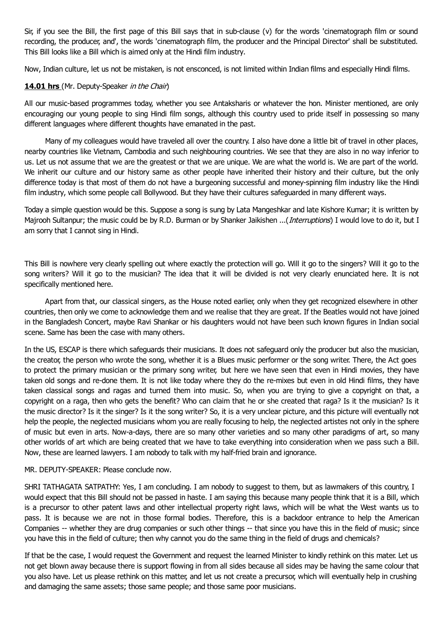Sir, if you see the Bill, the first page of this Bill says that in sub-clause (v) for the words 'cinematograph film or sound recording, the producer, and', the words 'cinematograph film, the producer and the Principal Director' shall be substituted. This Bill looks like a Bill which is aimed only at the Hindi film industry.

Now, Indian culture, let us not be mistaken, is not ensconced, is not limited within Indian films and especially Hindi films.

### 14.01 hrs (Mr. Deputy-Speaker in the Chair)

All our music-based programmes today, whether you see Antaksharis or whatever the hon. Minister mentioned, are only encouraging our young people to sing Hindi film songs, although this country used to pride itself in possessing so many different languages where different thoughts have emanated in the past.

Many of my colleagues would have traveled all over the country. I also have done a little bit of travel in other places, nearby countries like Vietnam, Cambodia and such neighbouring countries. We see that they are also in no way inferior to us. Let us not assume that we are the greatest or that we are unique. We are what the world is. We are part of the world. We inherit our culture and our history same as other people have inherited their history and their culture, but the only difference today is that most of them do not have a burgeoning successful and money-spinning film industry like the Hindi film industry, which some people call Bollywood. But they have their cultures safeguarded in many different ways.

Today a simple question would be this. Suppose a song is sung by Lata Mangeshkar and late Kishore Kumar; it is written by Majrooh Sultanpur; the music could be by R.D. Burman or by Shanker Jaikishen ...(*Interruptions*) I would love to do it, but I am sorry that I cannot sing in Hindi.

This Bill is nowhere very clearly spelling out where exactly the protection will go. Will it go to the singers? Will it go to the song writers? Will it go to the musician? The idea that it will be divided is not very clearly enunciated here. It is not specifically mentioned here.

Apart from that, our classical singers, as the House noted earlier, only when they get recognized elsewhere in other countries, then only we come to acknowledge them and we realise that they are great. If the Beatles would not have joined in the Bangladesh Concert, maybe Ravi Shankar or his daughters would not have been such known figures in Indian social scene. Same has been the case with many others.

In the US, ESCAP is there which safeguards their musicians. It does not safeguard only the producer but also the musician, the creator, the person who wrote the song, whether it is a Blues music performer or the song writer. There, the Act goes to protect the primary musician or the primary song writer, but here we have seen that even in Hindi movies, they have taken old songs and re-done them. It is not like today where they do the re-mixes but even in old Hindi films, they have taken classical songs and ragas and turned them into music. So, when you are trying to give a copyright on that, a copyright on a raga, then who gets the benefit? Who can claim that he or she created that raga? Is it the musician? Is it the music director? Is it the singer? Is it the song writer? So, it is a very unclear picture, and this picture will eventually not help the people, the neglected musicians whom you are really focusing to help, the neglected artistes not only in the sphere of music but even in arts. Now-a-days, there are so many other varieties and so many other paradigms of art, so many other worlds of art which are being created that we have to take everything into consideration when we pass such a Bill. Now, these are learned lawyers. I am nobody to talk with my half-fried brain and ignorance.

### MR. DEPUTY-SPEAKER: Please conclude now.

SHRI TATHAGATA SATPATHY: Yes, I am concluding. I am nobody to suggest to them, but as lawmakers of this country, I would expect that this Bill should not be passed in haste. I am saying this because many people think that it is a Bill, which is a precursor to other patent laws and other intellectual property right laws, which will be what the West wants us to pass. It is because we are not in those formal bodies. Therefore, this is a backdoor entrance to help the American Companies -- whether they are drug companies or such other things -- that since you have this in the field of music; since you have this in the field of culture; then why cannot you do the same thing in the field of drugs and chemicals?

If that be the case, I would request the Government and request the learned Minister to kindly rethink on this mater. Let us not get blown away because there is support flowing in from all sides because all sides may be having the same colour that you also have. Let us please rethink on this matter, and let us not create a precursor, which will eventually help in crushing and damaging the same assets; those same people; and those same poor musicians.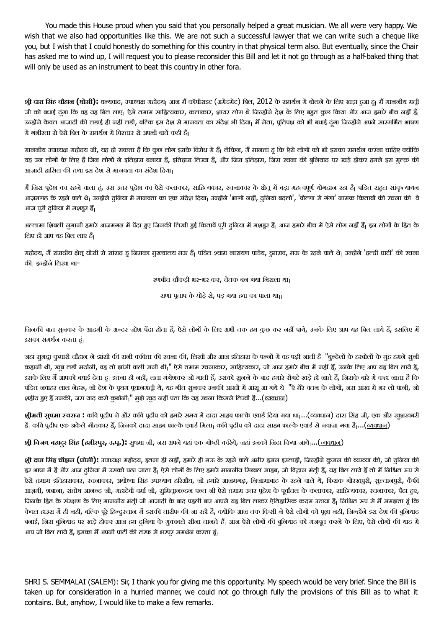You made this House proud when you said that you personally helped a great musician. We all were very happy. We wish that we also had opportunities like this. We are not such a successful lawyer that we can write such a cheque like you, but I wish that I could honestly do something for this country in that physical term also. But eventually, since the Chair has asked me to wind up, I will request you to please reconsider this Bill and let it not go through as a half-baked thing that will only be used as an instrument to beat this country in other fora.

<mark>श्री दारा सिंह चौहान (घोसी):</mark> धन्यवाद, उपाध्यक्ष महोदय<sub>।</sub> आज मैं कॉपीराइट (अमेंडमेंट) बिल, 2012 के समर्थन में बोलने के लिए खड़ा हुआ हूं<sub>।</sub> मैं माननीय मंत्री जी को बधाई दंगा कि वह यह बिल लाए। ऐसे तमाम साहित्यकार, कलाकार, शायर लोग थे जिन्होंने देश के लिए बहत कुछ किया और आज हमारे बीच नहीं हैं। उन्होंने केवल आज़ादी की लड़ाई ही नहीं लड़ी, बल्कि इस देश से मानवता का संदेश भी दिया। मैं नेता, पूतिपक्ष को भी बधाई दंगा जिन्होंने अपने सारगर्भित भाषण में गंभीरता से ऐसे बिल के समर्थन में विस्तार से अपनी बातें कही हैं।

माननीय उपाध्यक्ष महोदय जी, यह हो सकता है कि कुछ लोग इसके विरोध में हैं<sub>।</sub> लेकिन, मैं मानता हूं कि ऐसे लोगों को भी इसका समर्थन करना चाहिए क्योंकि यह उन लोगों के लिए है जिन लोगों ने इतिहास बनाया है, इतिहास लिखा है, और जिस इतिहास, जिस रचना की बुनियाद पर खड़े होकर हमने इस मुत्क की आज़ादी हासिल की तथा इस देश से मानवता का संदेश दिया।

मैं जिस पूदेश का रहने वाला ढूं, उस उत्तर पूदेश का ऐसे कलाकार, साहित्यकार, रचनाकार के क्षेत्र में बड़ा महत्वपूर्ण योगदान रहा है| पंडित राहुल सांकृत्यायन आज़मगढ़ के रहने वाले थे<sub>।</sub> उन्होंने दुनिया में मानवता का एक संदेश दिया<sub>।</sub> उन्होंने 'भागो नहीं, दुनिया बदलो', 'वोल्गा से गंगा' नामक किताबों की रचना की<sub>।</sub> वे आज पूरी दुनिया में मशहूर हैं।

अल्लामा शिबली नुमानी हमारे आज़मगढ़ में पैदा हुए जिनकी लिखी हुई किताबें पूरी दनिया में मशहर हैं। आज हमारे बीच में ऐसे लोग नहीं हैं। इन लोगों के हित के लिए ही आप यह बिल लाए हैं।

महोदय, मैं संसदीय क्षेतु घोसी से सांसद हं जिसका मुख्यालय मऊ हैं। पंडित श्याम नारायण पांडेय, इमराव, मऊ के रहने वाले थे। उन्होंने 'हल्दी घाटी' की रचना की। इन्होंने लिखा था-

रणबीच चौकड़ी भर-भर कर, चेतक बन गया िनराला था

राणा पताप के घोड़ेसे, पड़ गया हवा का पाला था

जिनकी बात सुनकर के आदमी के अन्दर जोश पैदा होता है, ऐसे लोगों के लिए अभी तक हम कुछ कर नहीं पाये, उनके लिए आप यह बिल लाये हैं, इसलिए मैं इसका समर्थन करता हं।

जहां सुभदा कुमारी चौहान ने झांसी की रानी कविता की रचना की, लिखी और आज इतिहास के पन्नों में वह पढ़ी जाती है| "बुन्देलों के हरबोलों के मुंह हमने सुनी कहानी थी, खूब लड़ी मर्दानी, वह तो झांसी वाली रानी थी|" ऐसे तमाम रचनाकार, साहित्यकार, जो आज हमारे बीच में नहीं हैं, उनके लिए आप यह बिल लाये हैं, इसके लिए मैं आपको बधाई देता हूं। इतना ही नहीं, लता मंगेशकर जो गाती हैं, उसको सुनने के बाद हमारे रोंगटे खड़े हो जाते हैं, जिसके बारे में कहा जाता है कि पंडित जवाहर लाल नेहरू, जो देश के पूथम पूधानमंत्री थे, यह गीत सुनकर उनकी आंखों में आंसू आ गये थे। "ऐ मेरे वतन के लोगों, जरा आंख में भर लो पानी, जो शहीद हुए हैं उनकी, जरा याद करो कुर्बानी<sub>।</sub>" मुझे खूद नहीं पता कि यह रचना किसने लिखी है...(<u>व्यवधान)</u>

**श्रीमती सुषमा स्वराज :** कवि पूढीप ने और कवि पूढीप को हमारे समय में दादा साहब फाल्के एवार्ड दिया गया था<sub>।</sub>...(<u>व्यवधान</u>) दारा सिंह जी, एक और खुशखबरी है<sub>।</sub> कवि पूढीप एक अकेले गीतकार हैं, जिनको दादा साहब फाल्के एवार्ड मिला<sub>।</sub> कवि पूढीप को दादा साहब फाल्के एवार्ड से नवाज़ा गया है....(<u>व्यवधान</u>)

**श-ी िवजय बहादरु िसंह (हमीरपरु, उ.प-.):** सुषमा जी, जरा अपनेयहां एक गोwी क/रय,े जहां इनको िजंदा िकया जाये...(यवधान)

**श्री दारा सिंह चौहान (घोसी):** उपाध्यक्ष महोदय, इतना ही नहीं, हमारे ही मऊ के रहने वाले अमीर हसन इस्लाही, जिन्होंने कुरान की व्यख्या की, जो दुनिया की हर भाषा में है और आज दलिया में उसको पढ़ा जाता है। ऐसे लोगों के लिए हमारे माननीय सिब्बल साहब, जो विद्वान मंती हैं, यह बिल लाये हैं तो मैं निश्चित रूप से ऐसे तमाम इतिहासकार, रचनाकार, अयोध्या सिंह उपाध्याय हरिऔध, जो हमारे आजमगढ़, निजामाबाद के रहने वाले थे, फिराक गोरखपुरी, सुल्तानपुरी, कैफी आज़मी, शबाना, संतोष आनन्द जी, महादेवी वर्मा जी, सुमितानन्दन पन्त जी ऐसे तमाम उत्तर पूढेश के पूर्वांचल के कलाकार, साहित्यकार, रचनाकार, पैदा हुए, जिनके हित के संरक्षण के लिए माननीय मंतूी जी आजादी के बाद पहली बार आपने यह बिल लाकर ऐतिहासिक कदम उठाया है| निश्चित रूप से मैं समझता हूं कि केवल हाउस में ही नहीं, बल्कि पूरे हिन्दरतान में इसकी तारीफ की जा रही है, क्योंकि आज तक किसी ने ऐसे लोगों को पूछा नहीं, जिन्होंने इस देश की बुनियाद बनाई, जिस बुनियाद पर खड़े होकर आज हम दुनिया के मुकाबले सीना तानते हैं। आज ऐसे लोगों की बुनियाद को मजबूत करने के लिए, ऐसे लोगों की याद में आप जो बिल लाये हैं, इसका मैं अपनी पार्टी की तरफ से भरपूर समर्थन करता हूं।

SHRI S. SEMMALAI (SALEM): Sir, I thank you for giving me this opportunity. My speech would be very brief. Since the Bill is taken up for consideration in a hurried manner, we could not go through fully the provisions of this Bill as to what it contains. But, anyhow, I would like to make a few remarks.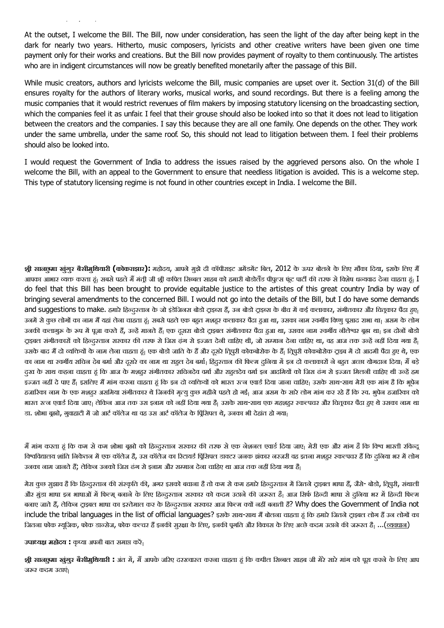At the outset, I welcome the Bill. The Bill, now under consideration, has seen the light of the day after being kept in the dark for nearly two years. Hitherto, music composers, lyricists and other creative writers have been given one time payment only for their works and creations. But the Bill now provides payment of royalty to them continuously. The artistes who are in indigent circumstances will now be greatly benefited monetarily after the passage of this Bill.

contains. But, anyhow, I would like to make a few remarks.

While music creators, authors and lyricists welcome the Bill, music companies are upset over it. Section 31(d) of the Bill ensures royalty for the authors of literary works, musical works, and sound recordings. But there is a feeling among the music companies that it would restrict revenues of film makers by imposing statutory licensing on the broadcasting section, which the companies feel it as unfair. I feel that their grouse should also be looked into so that it does not lead to litigation between the creators and the companies. I say this because they are all one family. One depends on the other. They work under the same umbrella, under the same roof. So, this should not lead to litigation between them. I feel their problems should also be looked into.

I would request the Government of India to address the issues raised by the aggrieved persons also. On the whole I welcome the Bill, with an appeal to the Government to ensure that needless litigation is avoided. This is a welcome step. This type of statutory licensing regime is not found in other countries except in India. I welcome the Bill.

**श्री सानछुमा खुंगुर बैसीमुथियारी (कोकराझार): महोदय, आपने मुझे दी कॉपीराइट अमेंडमेंट बिल, 2012 के ऊपर बोलने के लिए मौका दिया, इसके लिए मैं** आपका आभार व्यक्त करता हूं। सबसे पहले मैं मंती जी श्री कपिल सिब्बल साहब को हमारी बोडोलैंड पीपूल्स फंट पार्टी की तरफ से विशेष धन्यवाद देना चाहता हूं। I do feel that this Bill has been brought to provide equitable justice to the artistes of this great country India by way of bringing several amendments to the concerned Bill. I would not go into the details of the Bill, but I do have some demands and suggestions to make. हमारे हिन्दरतान के जो इंडेजिनस बोडो टाइव्स हैं, उन बोडो टाइव्स के बीच में कई कलाकार, संगीतकार और चितुकार पैदा हुए। उनमें से कुछ लोगों का नाम मैं यहां लेना चाहता हूं। सबसे पहले एक बहुत मशहूर कलाकार पैदा हुआ था, उसका नाम राजधान पहला था। असम के लोग उनकी कलागुरू के रूप में पूजा करते हैं, उन्हें मानते हैं। एक दूसरा बोडो ट्राइबल संगीतकार पैदा हुआ था, उसका नाम रवर्गीय नीलेश्वर बूढा था। इन दोनों बोडो टाइबल संगीतकारों को हिन्दरतान सरकार की तरफ से जिस ढंग से इज्जत देनी चाहिए थी, जो सम्मान देना चाहिए था, वह आज तक उन्हें नहीं दिया गया है। उसके बाद मैं दो व्यक्तियों के नाम लेना चाहता हूं। एक बोडो जाति के हैं और दसरे दिमरी कोकबोरोक दाख़ बैं परके बोज और का से, एक का नाम था रुकाीय सचिन देब बर्मा और दूसरे का नाम था राहुल देब बर्मा। हिंदुरतान की फिल्म दुनिया में इन दो कलाकारों ने बहुत अच्छा योगदान दिया। मैं बड़े दुख के साथ कहना चाहता हूं कि आज के मशहर संगीतकार सचिनदेव वर्मा और राहतदेव वर्मा इन आदमियों को जिस ढंग से इज्जत मिलनी चाहिए थी उन्हें हम इज्जत नहीं दे पाए हैं। इसलिए मैं मांग करना चाहता हूं कि इन दो व्यक्तियों को भारत रत्न एवार्ड दिया जाना चाहिए। उसके साथ-साथ मेरी एक मांग है कि भुपेन हजारिका नाम के एक मशहर असमिया संगीतकार थे जिनकी मृत्यु कुछ महीने पहले हो गई। आज असम के सारे लोग मांग कर रहे हैं कि रच. भूपेन हजारिका को भारत रत्न एवार्ड दिया जाए। लेकिन आज तक उस इनाम को नहीं दिया गया है। उसके साथ-साथ एक महशहूर स्कल्पचर और चितूकार पैदा हुए थे उसका नाम था डा. शोभा बुझो, गवाहाटी में जो आर्ट कॉलेज था वह उस आर्ट कॉलेज के पिंसिपल थे, उनका भी देहांत हो गया।

मैं मांग करता हूं कि कम से कम शोभा बूझो को हिन्दरतान सरकार की तरफ से एक नेशनल एवार्ड दिया जाए। मेरी एक और मांग है कि विश्व भारती रविन्द विश्वविद्यालय शांति निकेतन में एक कॉलेज है, उस कॉलेज का रिटायर्ड प्रििपल डाक्टर जनक झंकार नरजरी वह इतना मशहर रकल्पचर हैं कि दुनिया भर में लोग उनका नाम जानते हैं; लेकिन उनको जिस ढंग से इनाम और सम्मान देना चाहिए था आज तक नहीं दिया गया हैं।

मेरा कुछ सुझाव है कि हिन्दुस्तान की संस्कृति की, अगर इसको बचाना है तो कम से कम हमारे हिन्दुस्तान में जितने ट्राइबल भाषा हैं, जैसे- बोडो, तिपुरी, संथाली और मुंडा भाषा इन भाषाओं में फिल्म् बनाने के लिए हिन्दुस्तान सरकार को कदम उठाने की जरूरत है| आज सिर्फ हिन्दी भाषा से दनिया भर में हिन्दी फिल्म बनाए जाते हैं, लेकिन टाइबल भाषा का इस्तेमाल कर के हिन्दस्तान सरकार आज फिल्म क्यों नहीं बनाती है? Why does the Government of India not include the tribal languages in the list of official languages? इसके साथ-साथ मैं बोलना चाहता हूं कि हमारे जितने टाइबल लोग हैं उन लोगों का जितना फोक म्यूजिक, फोक डान्सेज, फोक कल्चर हैं इनकी सुरक्षा के लिए, इनकी पुगति और विकास के लिए अच्छे कदम उठाने की जरूरत हैं....(<u>व्यवधान)</u>

#### उपाध्यक्ष महोदय : कृप्या अपनी बात समाप्त करें<sub>।</sub>

**श्री <mark>सानछुमा खुंगुर बैसीमुथियारी :</mark> अंत में, मैं आपके जरिए दरस्व्वारत करना चाहता हूं कि कपील सिब्बल साहब जी मेरे सारे मांग को पूरा करने के लिए आप** जरूर कदम उठाएं।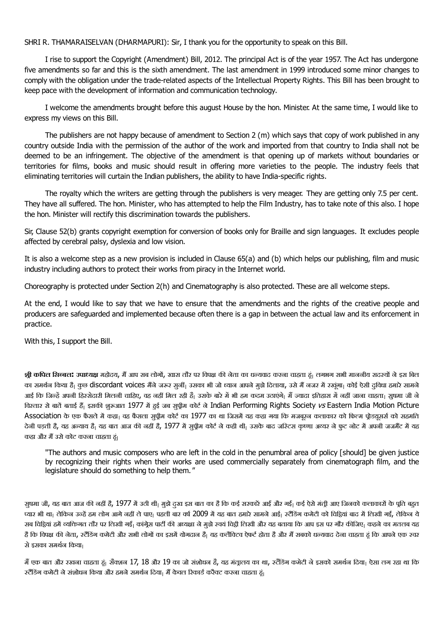SHRI R. THAMARAISELVAN (DHARMAPURI): Sir, I thank you for the opportunity to speak on this Bill.

I rise to support the Copyright (Amendment) Bill, 2012. The principal Act is of the year 1957. The Act has undergone five amendments so far and this is the sixth amendment. The last amendment in 1999 introduced some minor changes to comply with the obligation under the trade-related aspects of the Intellectual Property Rights. This Bill has been brought to keep pace with the development of information and communication technology.

I welcome the amendments brought before this august House by the hon. Minister. At the same time, I would like to express my views on this Bill.

The publishers are not happy because of amendment to Section 2 (m) which says that copy of work published in any country outside India with the permission of the author of the work and imported from that country to India shall not be deemed to be an infringement. The objective of the amendment is that opening up of markets without boundaries or territories for films, books and music should result in offering more varieties to the people. The industry feels that eliminating territories will curtain the Indian publishers, the ability to have India-specific rights.

The royalty which the writers are getting through the publishers is very meager. They are getting only 7.5 per cent. They have all suffered. The hon. Minister, who has attempted to help the Film Industry, has to take note of this also. I hope the hon. Minister will rectify this discrimination towards the publishers.

Sir, Clause 52(b) grants copyright exemption for conversion of books only for Braille and sign languages. It excludes people affected by cerebral palsy, dyslexia and low vision.

It is also a welcome step as a new provision is included in Clause 65(a) and (b) which helps our publishing, film and music industry including authors to protect their works from piracy in the Internet world.

Choreography is protected under Section 2(h) and Cinematography is also protected. These are all welcome steps.

At the end, I would like to say that we have to ensure that the amendments and the rights of the creative people and producers are safeguarded and implemented because often there is a gap in between the actual law and its enforcement in practice.

With this, I support the Bill.

**श्री कपिल सिब्बल: उपाध्यक्ष** महोदय, मैं आप सब लोगों, खास तौर पर विपक्ष की नेता का धन्यवाद करना चाहता हूं। लगभग सभी माननीय सदस्यों ने इस बिल का समर्थन किया है<sub>।</sub> कुछ discordant voices मैंने जरूर सुनीं<sub>।</sub> उसका भी जो ध्यान आपने मुझे दिलाया, उसे मैं नजर में रखूंगा<sub>।</sub> कोई ऐसी दुविधा हमारे सामने आई कि जिन्हें अपनी हिस्सेदारी मिलनी चाहिए, वह नहीं मिल रही है| उसके बारे में भी हम कदम उठाएंगे| मैं ज्यादा इतिहास में नहीं जाना चाहता| सूषमा जी ने विस्तार से बातें बताई हैं। इसकी शुरुआत 1977 में हुई जब सुपीम कोर्ट ने Indian Performing Rights Society vs Eastern India Motion Picture Association के एक फैसले में कहा वह फैसला सुपीम कोर्ट का 1977 का था जिसमें यह कहा गया कि मजबूरन कलाकार को फिल्म पोडयूसर्स को सहमति देनी पड़ती है, यह अन्याय है<sub>।</sub> यह बात आज की नहीं है, 1977 में सुप्रीम कोर्ट ने कही थी<sub>।</sub> उसके बाद जरिटस कृष्णा अच्यर ने फुट नोट में अपनी जजमैंट में यह कहा और मैं उसे कोट करना चाहता हूं।

"The authors and music composers who are left in the cold in the penumbral area of policy [should] be given iustice by recognizing their rights when their works are used commercially separately from cinematograph film, and the legislature should do something to help them."

सुषमा जी, यह बात आज की नहीं हैं, 1977 में उठी थी<sub>।</sub> मुझे दुख इस बात का है कि कई सरकारें आईं और गईं। कई ऐसे मंत्री आए जिनको कलाकारों के पूति बहुत प्यार भी था। लेकिन उन्हें हम लोग आगे नहीं ले पाए। पहली बार वर्ष 2009 में यह बात हमारे सामने आई। स्टैंडिंग कमेटी को विडियां बाद में लिखी गई, लेकिन ये सब चिट्ठियां हमें व्यक्तिगत तौर पर लिखी गई<sub>।</sub> कांग्रेस पार्टी की अध्यक्षा ने मुझे रचयं चिट्ठी लिखी और यह बताया कि आप इस पर गौर कीजिए<sub>।</sub> कहने का मतलब यह है कि विपक्ष की नेता, स्टैंडिंग कमेटी और सभी लोगों का इसमें योगदान है। यह कलैक्टिव ऐफर्ट होता हैं अपने धन्यवाद देना चाहता हूं कि आपने एक स्वर से इसका समर्थन किया।

मैं एक बात और रखना चाहता हूं। सैक्शन 17, 18 और 19 का जो संशोधन है, यह मंतालय का था, स्टैंडिंग कमेटी ने इसको समर्थन दिया। ऐसा लग रहा था कि रटैंडिंग कमेटी ने संशोधन किया और हमने समर्थन दिया। मैं केवल रिकार्ड करैक्ट करना चाहता हूं।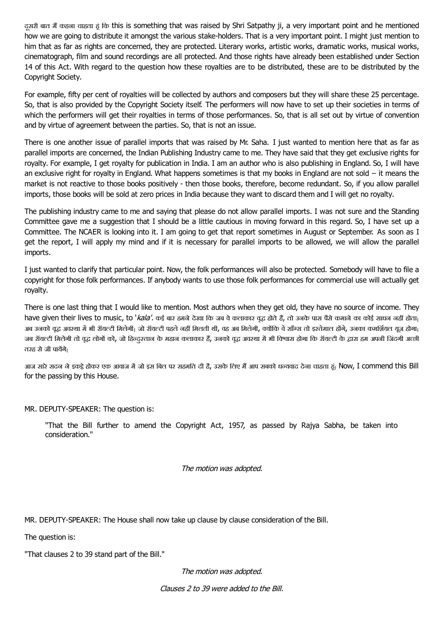दूसरी बात मैं कहना चाहता हूं कि this is something that was raised by Shri Satpathy ji, a very important point and he mentioned how we are going to distribute it amongst the various stake-holders. That is a very important point. I might just mention to him that as far as rights are concerned, they are protected. Literary works, artistic works, dramatic works, musical works, cinematograph, film and sound recordings are all protected. And those rights have already been established under Section 14 of this Act. With regard to the question how these royalties are to be distributed, these are to be distributed by the Copyright Society.

For example, fifty per cent of royalties will be collected by authors and composers but they will share these 25 percentage. So, that is also provided by the Copyright Society itself. The performers will now have to set up their societies in terms of which the performers will get their royalties in terms of those performances. So, that is all set out by virtue of convention and by virtue of agreement between the parties. So, that is not an issue.

There is one another issue of parallel imports that was raised by Mr. Saha. I just wanted to mention here that as far as parallel imports are concerned, the Indian Publishing Industry came to me. They have said that they get exclusive rights for royalty. For example, I get royalty for publication in India. I am an author who is also publishing in England. So, I will have an exclusive right for royalty in England. What happens sometimes is that my books in England are not sold − it means the market is not reactive to those books positively - then those books, therefore, become redundant. So, if you allow parallel imports, those books will be sold at zero prices in India because they want to discard them and I will get no royalty.

The publishing industry came to me and saying that please do not allow parallel imports. I was not sure and the Standing Committee gave me a suggestion that I should be a little cautious in moving forward in this regard. So, I have set up a Committee. The NCAER is looking into it. I am going to get that report sometimes in August or September. As soon as I get the report, I will apply my mind and if it is necessary for parallel imports to be allowed, we will allow the parallel imports.

I just wanted to clarify that particular point. Now, the folk performances will also be protected. Somebody will have to file a copyright for those folk performances. If anybody wants to use those folk performances for commercial use will actually get royalty.

There is one last thing that I would like to mention. Most authors when they get old, they have no source of income. They have given their lives to music, to 'kala'. कई बार हमने देखा कि जब वे कलाकार वुद्ध होते हैं, तो उनके पास पैसे कमाने का कोई साधन नहीं होता<sub>।</sub> अब उनको वूद्ध अवस्था में भी रॉयल्टी मिलेगी<sub>।</sub> जो रॉयल्टी पहले नहीं मिलती थी, वह अब मिलेगी, क्योंकि वे साँस्र तो इस्तेमाल होंगे, उनका कमर्शियल यूज होगा<sub>।</sub> जब रॉयल्टी मिलेगी तो वुद्ध लोगों को, जो हिन्दुस्तान के महान कलाकार हैं, उनको वुद्ध अवस्था में भी विश्वास होगा कि रॉयल्टी के द्वारा हम अपनी जिंदगी अच्छी तरह से जी पायेंगे।

आज सारे सदन ने इकट्ठे होकर एक आवाज में जो इस बिल पर सहमति दी है, उसके लिए मैं आप सबको धन्यवाद देना चाहता हूं। Now, I commend this Bill for the passing by this House.

MR. DEPUTY-SPEAKER: The question is:

"That the Bill further to amend the Copyright Act, 1957, as passed by Rajya Sabha, be taken into consideration."

The motion was adopted.

MR. DEPUTY-SPEAKER: The House shall now take up clause by clause consideration of the Bill.

The question is:

"That clauses 2 to 39 stand part of the Bill."

The motion was adopted.

Clauses 2 to 39 were added to the Bill.